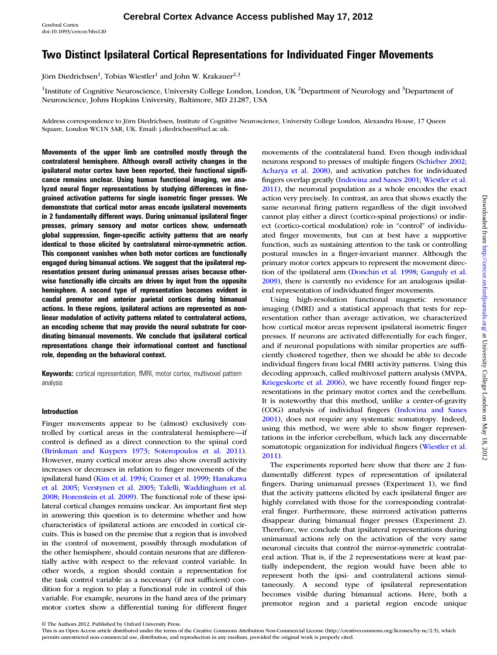# Two Distinct Ipsilateral Cortical Representations for Individuated Finger Movements

Jörn Diedrichsen<sup>1</sup>, Tobias Wiestler<sup>1</sup> and John W. Krakauer<sup>2,3</sup>

<sup>1</sup>Institute of Cognitive Neuroscience, University College London, London, UK<sup>2</sup>Department of Neurology and <sup>3</sup>Department of Neuroscience, Johns Hopkins University, Baltimore, MD 21287, USA

Address correspondence to Jörn Diedrichsen, Institute of Cognitive Neuroscience, University College London, Alexandra House, 17 Queen Square, London WC1N 3AR, UK. Email: j.diedrichsen@ucl.ac.uk.

Movements of the upper limb are controlled mostly through the contralateral hemisphere. Although overall activity changes in the ipsilateral motor cortex have been reported, their functional significance remains unclear. Using human functional imaging, we analyzed neural finger representations by studying differences in finegrained activation patterns for single isometric finger presses. We demonstrate that cortical motor areas encode ipsilateral movements in 2 fundamentally different ways. During unimanual ipsilateral finger presses, primary sensory and motor cortices show, underneath global suppression, finger-specific activity patterns that are nearly identical to those elicited by contralateral mirror-symmetric action. This component vanishes when both motor cortices are functionally engaged during bimanual actions. We suggest that the ipsilateral representation present during unimanual presses arises because otherwise functionally idle circuits are driven by input from the opposite hemisphere. A second type of representation becomes evident in caudal premotor and anterior parietal cortices during bimanual actions. In these regions, ipsilateral actions are represented as nonlinear modulation of activity patterns related to contralateral actions, an encoding scheme that may provide the neural substrate for coordinating bimanual movements. We conclude that ipsilateral cortical representations change their informational content and functional role, depending on the behavioral context.

Keywords: cortical representation, fMRI, motor cortex, multivoxel pattern analysis

### Introduction

Finger movements appear to be (almost) exclusively controlled by cortical areas in the contralateral hemisphere—if control is defined as a direct connection to the spinal cord [\(Brinkman and Kuypers 1973](#page-13-0); [Soteropoulos et al. 2011](#page-14-0)). However, many cortical motor areas also show overall activity increases or decreases in relation to finger movements of the ipsilateral hand [\(Kim et al. 1994;](#page-14-0) [Cramer et al. 1999](#page-13-0); [Hanakawa](#page-14-0) [et al. 2005;](#page-14-0) [Verstynen et al. 2005;](#page-14-0) [Talelli, Waddingham et al.](#page-14-0) [2008;](#page-14-0) [Horenstein et al. 2009](#page-14-0)). The functional role of these ipsilateral cortical changes remains unclear. An important first step in answering this question is to determine whether and how characteristics of ipsilateral actions are encoded in cortical circuits. This is based on the premise that a region that is involved in the control of movement, possibly through modulation of the other hemisphere, should contain neurons that are differentially active with respect to the relevant control variable. In other words, a region should contain a representation for the task control variable as a necessary (if not sufficient) condition for a region to play a functional role in control of this variable. For example, neurons in the hand area of the primary motor cortex show a differential tuning for different finger

movements of the contralateral hand. Even though individual neurons respond to presses of multiple fingers ([Schieber 2002;](#page-14-0) [Acharya et al. 2008\)](#page-13-0), and activation patches for individuated fingers overlap greatly ([Indovina and Sanes 2001](#page-14-0); [Wiestler et al.](#page-15-0) [2011\)](#page-15-0), the neuronal population as a whole encodes the exact action very precisely. In contrast, an area that shows exactly the same neuronal firing pattern regardless of the digit involved cannot play either a direct (cortico-spinal projections) or indirect (cortico-cortical modulation) role in "control" of individuated finger movements, but can at best have a supportive function, such as sustaining attention to the task or controlling postural muscles in a finger-invariant manner. Although the primary motor cortex appears to represent the movement direction of the ipsilateral arm ([Donchin et al. 1998](#page-13-0); [Ganguly et al.](#page-14-0) [2009\)](#page-14-0), there is currently no evidence for an analogous ipsilateral representation of individuated finger movements.

Using high-resolution functional magnetic resonance imaging (fMRI) and a statistical approach that tests for representation rather than average activation, we characterized how cortical motor areas represent ipsilateral isometric finger presses. If neurons are activated differentially for each finger, and if neuronal populations with similar properties are sufficiently clustered together, then we should be able to decode individual fingers from local fMRI activity patterns. Using this decoding approach, called multivoxel pattern analysis (MVPA, [Kriegeskorte et al. 2006\)](#page-14-0), we have recently found finger representations in the primary motor cortex and the cerebellum. It is noteworthy that this method, unlike a center-of-gravity (COG) analysis of individual fingers ([Indovina and Sanes](#page-14-0) [2001](#page-14-0)), does not require any systematic somatotopy. Indeed, using this method, we were able to show finger representations in the inferior cerebellum, which lack any discernable somatotopic organization for individual fingers ([Wiestler et al.](#page-15-0) [2011](#page-15-0)).

The experiments reported here show that there are 2 fundamentally different types of representation of ipsilateral fingers. During unimanual presses (Experiment 1), we find that the activity patterns elicited by each ipsilateral finger are highly correlated with those for the corresponding contralateral finger. Furthermore, these mirrored activation patterns disappear during bimanual finger presses (Experiment 2). Therefore, we conclude that ipsilateral representations during unimanual actions rely on the activation of the very same neuronal circuits that control the mirror-symmetric contralateral action. That is, if the 2 representations were at least partially independent, the region would have been able to represent both the ipsi- and contralateral actions simultaneously. A second type of ipsilateral representation becomes visible during bimanual actions. Here, both a premotor region and a parietal region encode unique

<sup>©</sup> The Authors 2012. Published by Oxford University Press.

This is an Open Access article distributed under the terms of the Creative Commons Attribution Non-Commercial License (http://creativecommons.org/licenses/by-nc/2.5), which permits unrestricted non-commercial use, distribution, and reproduction in any medium, provided the original work is properly cited.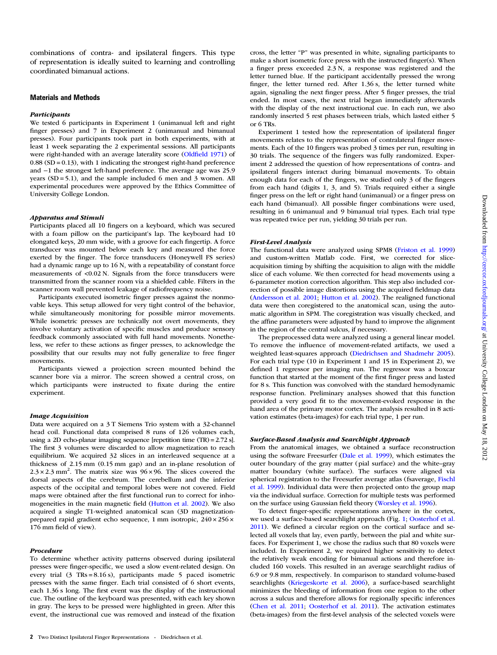combinations of contra- and ipsilateral fingers. This type of representation is ideally suited to learning and controlling coordinated bimanual actions.

#### Materials and Methods

#### Participants

We tested 6 participants in Experiment 1 (unimanual left and right finger presses) and 7 in Experiment 2 (unimanual and bimanual presses). Four participants took part in both experiments, with at least 1 week separating the 2 experimental sessions. All participants were right-handed with an average laterality score (Oldfi[eld 1971](#page-14-0)) of 0.88 (SD = 0.13), with 1 indicating the strongest right-hand preference and −1 the strongest left-hand preference. The average age was 25.9 years (SD = 5.1), and the sample included 6 men and 3 women. All experimental procedures were approved by the Ethics Committee of University College London.

#### Apparatus and Stimuli

Participants placed all 10 fingers on a keyboard, which was secured with a foam pillow on the participant's lap. The keyboard had 10 elongated keys, 20 mm wide, with a groove for each fingertip. A force transducer was mounted below each key and measured the force exerted by the finger. The force transducers (Honeywell FS series) had a dynamic range up to 16 N, with a repeatability of constant force measurements of <0.02 N. Signals from the force transducers were transmitted from the scanner room via a shielded cable. Filters in the scanner room wall prevented leakage of radiofrequency noise.

Participants executed isometric finger presses against the nonmovable keys. This setup allowed for very tight control of the behavior, while simultaneously monitoring for possible mirror movements. While isometric presses are technically not overt movements, they involve voluntary activation of specific muscles and produce sensory feedback commonly associated with full hand movements. Nonetheless, we refer to these actions as finger presses, to acknowledge the possibility that our results may not fully generalize to free finger movements.

Participants viewed a projection screen mounted behind the scanner bore via a mirror. The screen showed a central cross, on which participants were instructed to fixate during the entire experiment.

#### Image Acquisition

Data were acquired on a 3 T Siemens Trio system with a 32-channel head coil. Functional data comprised 8 runs of 126 volumes each, using a 2D echo-planar imaging sequence [repetition time (TR) = 2.72 s]. The first 3 volumes were discarded to allow magnetization to reach equilibrium. We acquired 32 slices in an interleaved sequence at a thickness of 2.15 mm (0.15 mm gap) and an in-plane resolution of  $2.3 \times 2.3$  mm<sup>2</sup>. The matrix size was  $96 \times 96$ . The slices covered the dorsal aspects of the cerebrum. The cerebellum and the inferior aspects of the occipital and temporal lobes were not covered. Field maps were obtained after the first functional run to correct for inhomogeneities in the main magnetic field ([Hutton et al. 2002](#page-14-0)). We also acquired a single T1-weighted anatomical scan (3D magnetizationprepared rapid gradient echo sequence, 1 mm isotropic, 240 × 256 × 176 mm field of view).

#### Procedure

To determine whether activity patterns observed during ipsilateral presses were finger-specific, we used a slow event-related design. On every trial  $(3 \text{ TRs} = 8.16 \text{ s})$ , participants made 5 paced isometric presses with the same finger. Each trial consisted of 6 short events, each 1.36 s long. The first event was the display of the instructional cue. The outline of the keyboard was presented, with each key shown in gray. The keys to be pressed were highlighted in green. After this event, the instructional cue was removed and instead of the fixation cross, the letter "P" was presented in white, signaling participants to make a short isometric force press with the instructed finger(s). When a finger press exceeded  $2.3 \text{ N}$ , a response was registered and the letter turned blue. If the participant accidentally pressed the wrong finger, the letter turned red. After 1.36 s, the letter turned white again, signaling the next finger press. After 5 finger presses, the trial ended. In most cases, the next trial began immediately afterwards with the display of the next instructional cue. In each run, we also randomly inserted 5 rest phases between trials, which lasted either 5 or 6 TRs.

Experiment 1 tested how the representation of ipsilateral finger movements relates to the representation of contralateral finger movements. Each of the 10 fingers was probed 3 times per run, resulting in 30 trials. The sequence of the fingers was fully randomized. Experiment 2 addressed the question of how representations of contra- and ipsilateral fingers interact during bimanual movements. To obtain enough data for each of the fingers, we studied only 3 of the fingers from each hand (digits 1, 3, and 5). Trials required either a single finger press on the left or right hand (unimanual) or a finger press on each hand (bimanual). All possible finger combinations were used, resulting in 6 unimanual and 9 bimanual trial types. Each trial type was repeated twice per run, yielding 30 trials per run.

#### First-Level Analysis

The functional data were analyzed using SPM8 ([Friston et al. 1999\)](#page-14-0) and custom-written Matlab code. First, we corrected for sliceacquisition timing by shifting the acquisition to align with the middle slice of each volume. We then corrected for head movements using a 6-parameter motion correction algorithm. This step also included correction of possible image distortions using the acquired fieldmap data ([Andersson et al. 2001](#page-13-0); [Hutton et al. 2002](#page-14-0)). The realigned functional data were then coregistered to the anatomical scan, using the automatic algorithm in SPM. The coregistration was visually checked, and the affine parameters were adjusted by hand to improve the alignment in the region of the central sulcus, if necessary.

The preprocessed data were analyzed using a general linear model. To remove the influence of movement-related artifacts, we used a weighted least-squares approach [\(Diedrichsen and Shadmehr 2005\)](#page-13-0). For each trial type (10 in Experiment 1 and 15 in Experiment 2), we defined 1 regressor per imaging run. The regressor was a boxcar function that started at the moment of the first finger press and lasted for 8 s. This function was convolved with the standard hemodynamic response function. Preliminary analyses showed that this function provided a very good fit to the movement-evoked response in the hand area of the primary motor cortex. The analysis resulted in 8 activation estimates (beta-images) for each trial type, 1 per run.

#### Surface-Based Analysis and Searchlight Approach

From the anatomical images, we obtained a surface reconstruction using the software Freesurfer ([Dale et al. 1999\)](#page-13-0), which estimates the outer boundary of the gray matter (pial surface) and the white–gray matter boundary (white surface). The surfaces were aligned via spherical registration to the Freesurfer average atlas (fsaverage, [Fischl](#page-14-0) [et al. 1999\)](#page-14-0). Individual data were then projected onto the group map via the individual surface. Correction for multiple tests was performed on the surface using Gaussian field theory [\(Worsley et al. 1996](#page-15-0)).

To detect finger-specific representations anywhere in the cortex, we used a surface-based searchlight approach (Fig. [1;](#page-2-0) [Oosterhof et al.](#page-14-0) [2011\)](#page-14-0). We defined a circular region on the cortical surface and selected all voxels that lay, even partly, between the pial and white surfaces. For Experiment 1, we chose the radius such that 80 voxels were included. In Experiment 2, we required higher sensitivity to detect the relatively weak encoding for bimanual actions and therefore included 160 voxels. This resulted in an average searchlight radius of 6.9 or 9.8 mm, respectively. In comparison to standard volume-based searchlights [\(Kriegeskorte et al. 2006](#page-14-0)), a surface-based searchlight minimizes the bleeding of information from one region to the other across a sulcus and therefore allows for regionally specific inferences ([Chen et al. 2011](#page-13-0); [Oosterhof et al. 2011\)](#page-14-0). The activation estimates (beta-images) from the first-level analysis of the selected voxels were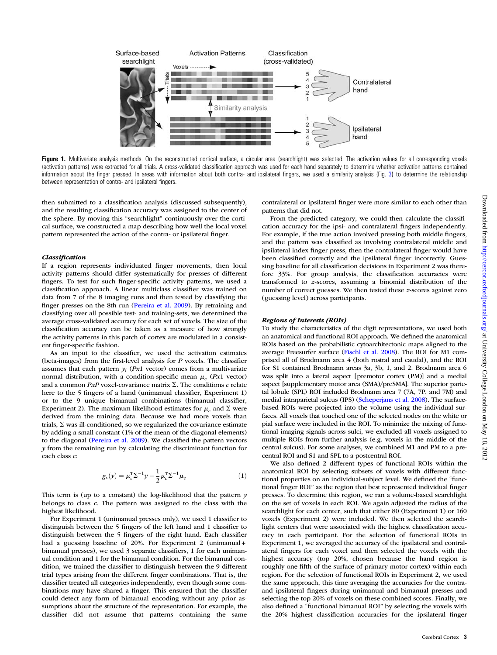<span id="page-2-0"></span>

Figure 1. Multivariate analysis methods. On the reconstructed cortical surface, a circular area (searchlight) was selected. The activation values for all corresponding voxels (activation patterns) were extracted for all trials. A cross-validated classification approach was used for each hand separately to determine whether activation patterns contained information about the finger pressed. In areas with information about both contra- and ipsilateral fingers, we used a similarity analysis (Fig. [3](#page-6-0)) to determine the relationship between representation of contra- and ipsilateral fingers.

then submitted to a classification analysis (discussed subsequently), and the resulting classification accuracy was assigned to the center of the sphere. By moving this "searchlight" continuously over the cortical surface, we constructed a map describing how well the local voxel pattern represented the action of the contra- or ipsilateral finger.

#### Classification

If a region represents individuated finger movements, then local activity patterns should differ systematically for presses of different fingers. To test for such finger-specific activity patterns, we used a classification approach. A linear multiclass classifier was trained on data from 7 of the 8 imaging runs and then tested by classifying the finger presses on the 8th run [\(Pereira et al. 2009\)](#page-14-0). By retraining and classifying over all possible test- and training-sets, we determined the average cross-validated accuracy for each set of voxels. The size of the classification accuracy can be taken as a measure of how strongly the activity patterns in this patch of cortex are modulated in a consistent finger-specific fashion.

As an input to the classifier, we used the activation estimates (beta-images) from the first-level analysis for P voxels. The classifier assumes that each pattern  $y_i$  (Px1 vector) comes from a multivariate normal distribution, with a condition-specific mean  $\mu_c$  (Px1 vector) and a common  $PxP$  voxel-covariance matrix  $\Sigma$ . The conditions c relate here to the 5 fingers of a hand (unimanual classifier, Experiment 1) or to the 9 unique bimanual combinations (bimanual classifier, Experiment 2). The maximum-likelihood estimates for  $\mu_c$  and  $\Sigma$  were derived from the training data. Because we had more voxels than trials,  $\Sigma$  was ill-conditioned, so we regularized the covariance estimate by adding a small constant (1% of the mean of the diagonal elements) to the diagonal [\(Pereira et al. 2009](#page-14-0)). We classified the pattern vectors  $y$  from the remaining run by calculating the discriminant function for each class c:

$$
g_c(y) = \mu_c^{\mathrm{T}} \Sigma^{-1} y - \frac{1}{2} \mu_c^{\mathrm{T}} \Sigma^{-1} \mu_c \tag{1}
$$

This term is (up to a constant) the log-likelihood that the pattern  $y$ belongs to class c. The pattern was assigned to the class with the highest likelihood.

For Experiment 1 (unimanual presses only), we used 1 classifier to distinguish between the 5 fingers of the left hand and 1 classifier to distinguish between the 5 fingers of the right hand. Each classifier had a guessing baseline of 20%. For Experiment 2 (unimanual + bimanual presses), we used 3 separate classifiers, 1 for each unimanual condition and 1 for the bimanual condition. For the bimanual condition, we trained the classifier to distinguish between the 9 different trial types arising from the different finger combinations. That is, the classifier treated all categories independently, even though some combinations may have shared a finger. This ensured that the classifier could detect any form of bimanual encoding without any prior assumptions about the structure of the representation. For example, the classifier did not assume that patterns containing the same

contralateral or ipsilateral finger were more similar to each other than patterns that did not.

From the predicted category, we could then calculate the classification accuracy for the ipsi- and contralateral fingers independently. For example, if the true action involved pressing both middle fingers, and the pattern was classified as involving contralateral middle and ipsilateral index finger press, then the contralateral finger would have been classified correctly and the ipsilateral finger incorrectly. Guessing baseline for all classification decisions in Experiment 2 was therefore 33%. For group analysis, the classification accuracies were transformed to z-scores, assuming a binomial distribution of the number of correct guesses. We then tested these z-scores against zero (guessing level) across participants.

#### Regions of Interests (ROIs)

To study the characteristics of the digit representations, we used both an anatomical and functional ROI approach. We defined the anatomical ROIs based on the probabilistic cytoarchitectonic maps aligned to the average Freesurfer surface [\(Fischl et al. 2008\)](#page-14-0). The ROI for M1 comprised all of Brodmann area 4 (both rostral and caudal), and the ROI for S1 contained Brodmann areas 3a, 3b, 1, and 2. Brodmann area 6 was split into a lateral aspect [premotor cortex (PM)] and a medial aspect [supplementary motor area (SMA)/preSMA]. The superior parietal lobule (SPL) ROI included Brodmann area 7 (7A, 7P, and 7M) and medial intraparietal sulcus (IPS) ([Scheperjans et al. 2008](#page-14-0)). The surfacebased ROIs were projected into the volume using the individual surfaces. All voxels that touched one of the selected nodes on the white or pial surface were included in the ROI. To minimize the mixing of functional imaging signals across sulci, we excluded all voxels assigned to multiple ROIs from further analysis (e.g. voxels in the middle of the central sulcus). For some analyses, we combined M1 and PM to a precentral ROI and S1 and SPL to a postcentral ROI.

We also defined 2 different types of functional ROIs within the anatomical ROI by selecting subsets of voxels with different functional properties on an individual-subject level. We defined the "functional finger ROI" as the region that best represented individual finger presses. To determine this region, we ran a volume-based searchlight on the set of voxels in each ROI. We again adjusted the radius of the searchlight for each center, such that either 80 (Experiment 1) or 160 voxels (Experiment 2) were included. We then selected the searchlight centers that were associated with the highest classification accuracy in each participant. For the selection of functional ROIs in Experiment 1, we averaged the accuracy of the ipsilateral and contralateral fingers for each voxel and then selected the voxels with the highest accuracy (top 20%, chosen because the hand region is roughly one-fifth of the surface of primary motor cortex) within each region. For the selection of functional ROIs in Experiment 2, we used the same approach, this time averaging the accuracies for the contraand ipsilateral fingers during unimanual and bimanual presses and selecting the top 20% of voxels on these combined scores. Finally, we also defined a "functional bimanual ROI" by selecting the voxels with the 20% highest classification accuracies for the ipsilateral finger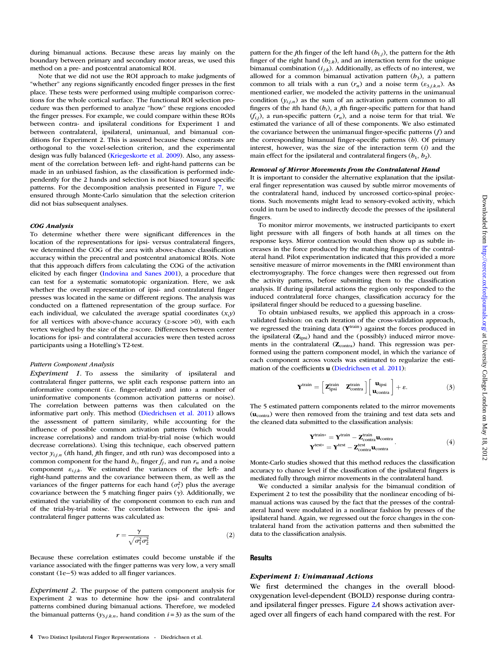during bimanual actions. Because these areas lay mainly on the boundary between primary and secondary motor areas, we used this method on a pre- and postcentral anatomical ROI.

Note that we did not use the ROI approach to make judgments of "whether" any regions significantly encoded finger presses in the first place. These tests were performed using multiple comparison corrections for the whole cortical surface. The functional ROI selection procedure was then performed to analyze "how" these regions encoded the finger presses. For example, we could compare within these ROIs between contra- and ipsilateral conditions for Experiment 1 and between contralateral, ipsilateral, unimanual, and bimanual conditions for Experiment 2. This is assured because these contrasts are orthogonal to the voxel-selection criterion, and the experimental design was fully balanced ([Kriegeskorte et al. 2009](#page-14-0)). Also, any assessment of the correlation between left- and right-hand patterns can be made in an unbiased fashion, as the classification is performed independently for the 2 hands and selection is not biased toward specific patterns. For the decomposition analysis presented in Figure [7,](#page-10-0) we ensured through Monte-Carlo simulation that the selection criterion did not bias subsequent analyses.

#### COG Analysis

To determine whether there were significant differences in the location of the representations for ipsi- versus contralateral fingers, we determined the COG of the area with above-chance classification accuracy within the precentral and postcentral anatomical ROIs. Note that this approach differs from calculating the COG of the activation elicited by each finger [\(Indovina and Sanes 2001](#page-14-0)), a procedure that can test for a systematic somatotopic organization. Here, we ask whether the overall representation of ipsi- and contralateral finger presses was located in the same or different regions. The analysis was conducted on a flattened representation of the group surface. For each individual, we calculated the average spatial coordinates  $(x,y)$ for all vertices with above-chance accuracy ( $z$ -score  $>0$ ), with each vertex weighed by the size of the z-score. Differences between center locations for ipsi- and contralateral accuracies were then tested across participants using a Hotelling's T2-test.

#### Pattern Component Analysis

Experiment 1. To assess the similarity of ipsilateral and contralateral finger patterns, we split each response pattern into an informative component (i.e. finger-related) and into a number of uninformative components (common activation patterns or noise). The correlation between patterns was then calculated on the informative part only. This method ([Diedrichsen et al. 2011](#page-13-0)) allows the assessment of pattern similarity, while accounting for the influence of possible common activation patterns (which would increase correlations) and random trial-by-trial noise (which would decrease correlations). Using this technique, each observed pattern vector  $y_{i,j,n}$  (ith hand, jth finger, and nth run) was decomposed into a common component for the hand  $b_i$ , finger  $f_j$ , and run  $r_n$  and a noise component  $\varepsilon_{i,j,k}$ . We estimated the variances of the left- and right-hand patterns and the covariance between them, as well as the variances of the finger patterns for each hand  $(\sigma_i^2)$  plus the average covariance between the 5 matching finger pairs  $(y)$ . Additionally, we estimated the variability of the component common to each run and of the trial-by-trial noise. The correlation between the ipsi- and contralateral finger patterns was calculated as:

$$
r = \frac{\gamma}{\sqrt{\sigma_1^2 \sigma_2^2}}\tag{2}
$$

Because these correlation estimates could become unstable if the variance associated with the finger patterns was very low, a very small constant (1e−5) was added to all finger variances.

Experiment 2. The purpose of the pattern component analysis for Experiment 2 was to determine how the ipsi- and contralateral patterns combined during bimanual actions. Therefore, we modeled the bimanual patterns ( $y_{3,i,k,n}$ , hand condition  $i=3$ ) as the sum of the

pattern for the jth finger of the left hand  $(b_{1,j})$ , the pattern for the kth finger of the right hand  $(b_{2,k})$ , and an interaction term for the unique bimanual combination  $(i_{j,k})$ . Additionally, as effects of no interest, we allowed for a common bimanual activation pattern  $(b_3)$ , a pattern common to all trials with a run  $(r_n)$  and a noise term  $(\varepsilon_{3,j,k,n})$ . As mentioned earlier, we modeled the activity patterns in the unimanual condition  $(y_{i,j,n})$  as the sum of an activation pattern common to all fingers of the *i*th hand  $(b_i)$ , a *j*th finger-specific pattern for that hand  $(f_{i,j})$ , a run-specific pattern  $(r_n)$ , and a noise term for that trial. We estimated the variance of all of these components. We also estimated the covariance between the unimanual finger-specific patterns  $(f)$  and the corresponding bimanual finger-specific patterns (b). Of primary interest, however, was the size of the interaction term  $(i)$  and the main effect for the ipsilateral and contralateral fingers  $(b_1, b_2)$ .

#### Removal of Mirror Movements from the Contralateral Hand

It is important to consider the alternative explanation that the ipsilateral finger representation was caused by subtle mirror movements of the contralateral hand, induced by uncrossed cortico-spinal projections. Such movements might lead to sensory-evoked activity, which could in turn be used to indirectly decode the presses of the ipsilateral fingers.

To monitor mirror movements, we instructed participants to exert light pressure with all fingers of both hands at all times on the response keys. Mirror contraction would then show up as subtle increases in the force produced by the matching fingers of the contralateral hand. Pilot experimentation indicated that this provided a more sensitive measure of mirror movements in the fMRI environment than electromyography. The force changes were then regressed out from the activity patterns, before submitting them to the classification analysis. If during ipsilateral actions the region only responded to the induced contralateral force changes, classification accuracy for the ipsilateral finger should be reduced to a guessing baseline.

To obtain unbiased results, we applied this approach in a crossvalidated fashion: on each iteration of the cross-validation approach, we regressed the training data (Y<sup>train</sup>) against the forces produced in the ipsilateral  $(\mathbf{Z}_{\text{ipsi}})$  hand and the (possibly) induced mirror movements in the contralateral  $(\mathbf{Z}_{\text{contra}})$  hand. This regression was performed using the pattern component model, in which the variance of each component across voxels was estimated to regularize the estimation of the coefficients u ([Diedrichsen et al. 2011](#page-13-0)):

$$
\mathbf{Y}^{\text{train}} = \begin{bmatrix} \mathbf{Z}_{\text{ipsi}}^{\text{train}} & \mathbf{Z}_{\text{contra}}^{\text{train}} \end{bmatrix} \begin{bmatrix} \mathbf{u}_{\text{ipsi}} \\ \mathbf{u}_{\text{contra}} \end{bmatrix} + \epsilon. \tag{3}
$$

The 5 estimated pattern components related to the mirror movements  $(u<sub>contra</sub>)$  were then removed from the training and test data sets and the cleaned data submitted to the classification analysis:

$$
\mathbf{Y}^{\text{train*}} = \mathbf{Y}^{\text{train}} - \mathbf{Z}^{\text{train}}_{\text{contra}} \mathbf{u}_{\text{contra}} \tag{4}
$$
\n
$$
\mathbf{Y}^{\text{test*}} = \mathbf{Y}^{\text{test}} - \mathbf{Z}^{\text{test}}_{\text{contra}} \mathbf{u}_{\text{contra}} \tag{4}
$$

Monte-Carlo studies showed that this method reduces the classification accuracy to chance level if the classification of the ipsilateral fingers is mediated fully through mirror movements in the contralateral hand.

We conducted a similar analysis for the bimanual condition of Experiment 2 to test the possibility that the nonlinear encoding of bimanual actions was caused by the fact that the presses of the contralateral hand were modulated in a nonlinear fashion by presses of the ipsilateral hand. Again, we regressed out the force changes in the contralateral hand from the activation patterns and then submitted the data to the classification analysis.

#### **Results**

#### Experiment 1: Unimanual Actions

We first determined the changes in the overall bloodoxygenation level-dependent (BOLD) response during contraand ipsilateral finger presses. Figure [2](#page-4-0)A shows activation averaged over all fingers of each hand compared with the rest. For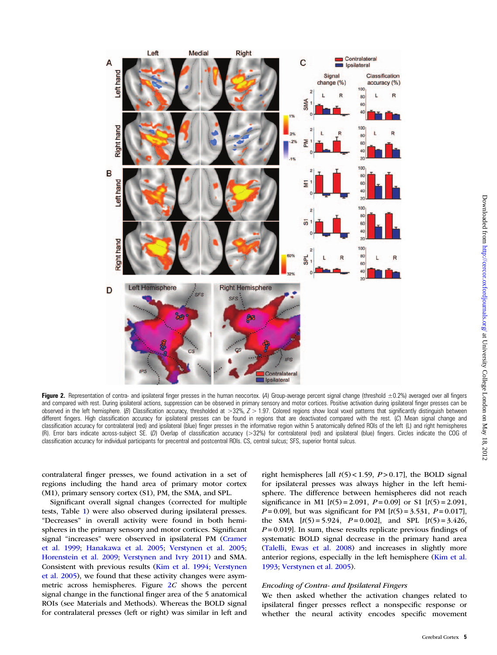<span id="page-4-0"></span>

Figure 2. Representation of contra- and ipsilateral finger presses in the human neocortex. (A) Group-average percent signal change (threshold ±0.2%) averaged over all fingers and compared with rest. During ipsilateral actions, suppression can be observed in primary sensory and motor cortices. Positive activation during ipsilateral finger presses can be observed in the left hemisphere. (B) Classification accuracy, thresholded at  $>32\%$ ,  $Z > 1.97$ . Colored regions show local voxel patterns that significantly distinguish between different fingers. High classification accuracy for ipsilateral presses can be found in regions that are deactivated compared with the rest. (C) Mean signal change and classification accuracy for contralateral (red) and ipsilateral (blue) finger presses in the informative region within 5 anatomically defined ROIs of the left (L) and right hemispheres (R). Error bars indicate across-subject SE. (D) Overlap of classification accuracy (>32%) for contralateral (red) and ipsilateral (blue) fingers. Circles indicate the COG of classification accuracy for individual participants for precentral and postcentral ROIs. CS, central sulcus; SFS, superior frontal sulcus.

contralateral finger presses, we found activation in a set of regions including the hand area of primary motor cortex (M1), primary sensory cortex (S1), PM, the SMA, and SPL.

Significant overall signal changes (corrected for multiple tests, Table [1](#page-5-0)) were also observed during ipsilateral presses. "Decreases" in overall activity were found in both hemispheres in the primary sensory and motor cortices. Significant signal "increases" were observed in ipsilateral PM [\(Cramer](#page-13-0) [et al. 1999;](#page-13-0) [Hanakawa et al. 2005](#page-14-0); [Verstynen et al. 2005;](#page-14-0) [Horenstein et al. 2009](#page-14-0); [Verstynen and Ivry 2011](#page-14-0)) and SMA. Consistent with previous results [\(Kim et al. 1994;](#page-14-0) [Verstynen](#page-14-0) [et al. 2005\)](#page-14-0), we found that these activity changes were asymmetric across hemispheres. Figure 2C shows the percent signal change in the functional finger area of the 5 anatomical ROIs (see Materials and Methods). Whereas the BOLD signal for contralateral presses (left or right) was similar in left and

right hemispheres [all  $t(5)$  < 1.59, P > 0.17], the BOLD signal for ipsilateral presses was always higher in the left hemisphere. The difference between hemispheres did not reach significance in M1  $[t(5) = 2.091, P = 0.09]$  or S1  $[t(5) = 2.091,$  $P = 0.09$ ], but was significant for PM  $[t(5) = 3.531, P = 0.017]$ , the SMA  $[t(5) = 5.924, P = 0.002]$ , and SPL  $[t(5) = 3.426,$  $P = 0.019$ . In sum, these results replicate previous findings of systematic BOLD signal decrease in the primary hand area [\(Talelli, Ewas et al. 2008](#page-14-0)) and increases in slightly more anterior regions, especially in the left hemisphere ([Kim et al.](#page-14-0) [1993](#page-14-0); [Verstynen et al. 2005](#page-14-0)).

# Encoding of Contra- and Ipsilateral Fingers

We then asked whether the activation changes related to ipsilateral finger presses reflect a nonspecific response or whether the neural activity encodes specific movement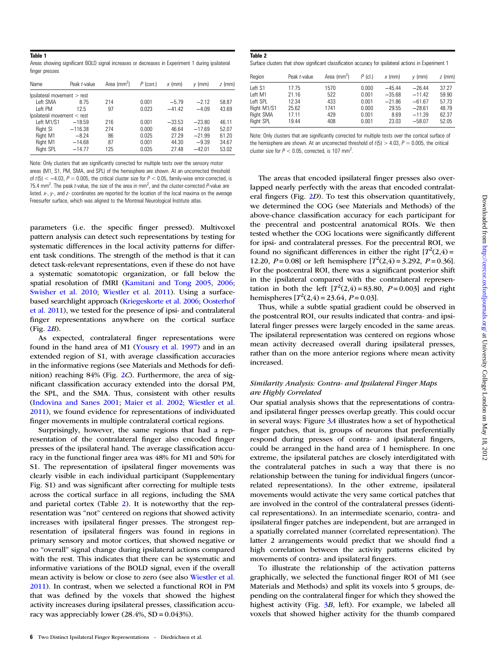<span id="page-5-0"></span>

| Areas showing significant BOLD signal increases or decreases in Experiment 1 during ipsilateral |  |  |  |  |  |  |
|-------------------------------------------------------------------------------------------------|--|--|--|--|--|--|
| finger presses                                                                                  |  |  |  |  |  |  |

| Name                        | Peak t-value | Area $\text{mm}^2$ ) | $P$ (corr.) | $x$ (mm) | $v$ (mm) | $z$ (mm) |  |  |
|-----------------------------|--------------|----------------------|-------------|----------|----------|----------|--|--|
| Ipsilon > rest              |              |                      |             |          |          |          |  |  |
| Left SMA                    | 8.75         | 214                  | 0.001       | $-5.79$  | $-2.12$  | 58.87    |  |  |
| Left PM                     | 12.5         | 97                   | 0.023       | $-41.42$ | $-4.09$  | 43.69    |  |  |
| Ipsilateral movement < rest |              |                      |             |          |          |          |  |  |
| Left M1/S1                  | $-18.59$     | 216                  | 0.001       | $-33.53$ | $-23.80$ | 46.11    |  |  |
| Right SI                    | $-116.38$    | 274                  | 0.000       | 46.64    | $-17.69$ | 52.07    |  |  |
| Right M1                    | $-8.24$      | 86                   | 0.025       | 27.29    | $-21.99$ | 61.20    |  |  |
| Right M1                    | $-14.68$     | 87                   | 0.001       | 44.30    | $-9.39$  | 34.67    |  |  |
| Right SPL                   | $-14.77$     | 125                  | 0.035       | 27.48    | $-42.01$ | 53.02    |  |  |

Note: Only clusters that are significantly corrected for multiple tests over the sensory motor areas (M1, S1, PM, SMA, and SPL) of the hemisphere are shown. At an uncorrected threshold of  $t(5) < -4.03$ ,  $P = 0.005$ , the critical cluster size for  $P < 0.05$ , family-wise error-corrected, is 75.4 mm<sup>2</sup>. The peak *t*-value, the size of the area in mm<sup>2</sup>, and the cluster-corrected P-value are listed. x-, y-, and z- coordinates are reported for the location of the local maxima on the average Freesurfer surface, which was aligned to the Montreal Neurological Institute atlas.

parameters (i.e. the specific finger pressed). Multivoxel pattern analysis can detect such representations by testing for systematic differences in the local activity patterns for different task conditions. The strength of the method is that it can detect task-relevant representations, even if these do not have a systematic somatotopic organization, or fall below the spatial resolution of fMRI [\(Kamitani and Tong 2005](#page-14-0), [2006](#page-14-0); [Swisher et al. 2010;](#page-14-0) [Wiestler et al. 2011\)](#page-15-0). Using a surfacebased searchlight approach ([Kriegeskorte et al. 2006;](#page-14-0) [Oosterhof](#page-14-0) [et al. 2011\)](#page-14-0), we tested for the presence of ipsi- and contralateral finger representations anywhere on the cortical surface  $(Fig. 2B)$  $(Fig. 2B)$  $(Fig. 2B)$ .

As expected, contralateral finger representations were found in the hand area of M1 ([Yousry et al. 1997\)](#page-15-0) and in an extended region of S1, with average classification accuracies in the informative regions (see Materials and Methods for definition) reaching  $84\%$  (Fig. [2](#page-4-0)C). Furthermore, the area of significant classification accuracy extended into the dorsal PM, the SPL, and the SMA. Thus, consistent with other results [\(Indovina and Sanes 2001](#page-14-0); [Maier et al. 2002](#page-14-0); [Wiestler et al.](#page-15-0) [2011\)](#page-15-0), we found evidence for representations of individuated finger movements in multiple contralateral cortical regions.

Surprisingly, however, the same regions that had a representation of the contralateral finger also encoded finger presses of the ipsilateral hand. The average classification accuracy in the functional finger area was 48% for M1 and 50% for S1. The representation of ipsilateral finger movements was clearly visible in each individual participant [\(Supplementary](http://cercor.oxfordjournals.org/lookup/suppl/doi:10.1093/cercor/bhs120/-/DC1) [Fig. S1](http://cercor.oxfordjournals.org/lookup/suppl/doi:10.1093/cercor/bhs120/-/DC1)) and was significant after correcting for multiple tests across the cortical surface in all regions, including the SMA and parietal cortex (Table 2). It is noteworthy that the representation was "not" centered on regions that showed activity increases with ipsilateral finger presses. The strongest representation of ipsilateral fingers was found in regions in primary sensory and motor cortices, that showed negative or no "overall" signal change during ipsilateral actions compared with the rest. This indicates that there can be systematic and informative variations of the BOLD signal, even if the overall mean activity is below or close to zero (see also [Wiestler et al.](#page-15-0) [2011\)](#page-15-0). In contrast, when we selected a functional ROI in PM that was defined by the voxels that showed the highest activity increases during ipsilateral presses, classification accuracy was appreciably lower  $(28.4\%, SD = 0.043\%).$ 

| Table 2                                                                                                |  |  |
|--------------------------------------------------------------------------------------------------------|--|--|
| Surface clusters that show significant classification accuracy for ipsilateral actions in Experiment 1 |  |  |

| Region      | Peak t-value | Area $\text{m}^2$ ) | $P$ (cl.) | $x$ (mm) | $v$ (mm) | $z$ (mm) |
|-------------|--------------|---------------------|-----------|----------|----------|----------|
| Left S1     | 17.75        | 1570                | 0.000     | $-45.44$ | $-26.44$ | 37.27    |
| Left M1     | 21.16        | 522                 | 0.001     | $-35.68$ | $-11.42$ | 59.90    |
| Left SPL    | 12.34        | 433                 | 0.001     | $-21.86$ | $-61.67$ | 57.73    |
| Right M1/S1 | 25.62        | 1741                | 0.000     | 29.55    | $-28.61$ | 48.79    |
| Right SMA   | 17.11        | 429                 | 0.001     | 8.69     | $-11.39$ | 62.37    |
| Right SPL   | 19.44        | 408                 | 0.001     | 23.03    | $-58.07$ | 52.05    |

Note: Only clusters that are significantly corrected for multiple tests over the cortical surface of the hemisphere are shown. At an uncorrected threshold of  $t(5) > 4.03$ ,  $P = 0.005$ , the critical cluster size for  $P < 0.05$ , corrected, is 107 mm<sup>2</sup>.

The areas that encoded ipsilateral finger presses also overlapped nearly perfectly with the areas that encoded contralateral fingers (Fig. [2](#page-4-0)D). To test this observation quantitatively, we determined the COG (see Materials and Methods) of the above-chance classification accuracy for each participant for the precentral and postcentral anatomical ROIs. We then tested whether the COG locations were significantly different for ipsi- and contralateral presses. For the precentral ROI, we found no significant differences in either the right  $[T^2(2, 4) =$ 12.20,  $P = 0.08$  or left hemisphere  $[T^2(2, 4) = 3.292, P = 0.36]$ . For the postcentral ROI, there was a significant posterior shift in the ipsilateral compared with the contralateral representation in both the left  $[T^2(2, 4) = 83.80, P = 0.003]$  and right hemispheres  $[T^2(2, 4) = 23.64, P = 0.03]$ .

Thus, while a subtle spatial gradient could be observed in the postcentral ROI, our results indicated that contra- and ipsilateral finger presses were largely encoded in the same areas. The ipsilateral representation was centered on regions whose mean activity decreased overall during ipsilateral presses, rather than on the more anterior regions where mean activity increased.

# Similarity Analysis: Contra- and Ipsilateral Finger Maps are Highly Correlated

Our spatial analysis shows that the representations of contraand ipsilateral finger presses overlap greatly. This could occur in several ways: Figure [3](#page-6-0)A illustrates how a set of hypothetical finger patches, that is, groups of neurons that preferentially respond during presses of contra- and ipsilateral fingers, could be arranged in the hand area of 1 hemisphere. In one extreme, the ipsilateral patches are closely interdigitated with the contralateral patches in such a way that there is no relationship between the tuning for individual fingers (uncorrelated representations). In the other extreme, ipsilateral movements would activate the very same cortical patches that are involved in the control of the contralateral presses (identical representations). In an intermediate scenario, contra- and ipsilateral finger patches are independent, but are arranged in a spatially correlated manner (correlated representation). The latter 2 arrangements would predict that we should find a high correlation between the activity patterns elicited by movements of contra- and ipsilateral fingers.

To illustrate the relationship of the activation patterns graphically, we selected the functional finger ROI of M1 (see Materials and Methods) and split its voxels into 5 groups, depending on the contralateral finger for which they showed the highest activity (Fig.  $3B$  $3B$ , left). For example, we labeled all voxels that showed higher activity for the thumb compared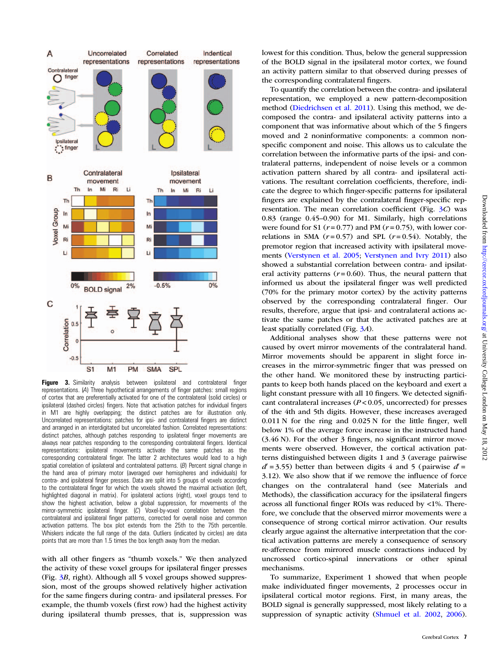<span id="page-6-0"></span>

Figure 3. Similarity analysis between ipsilateral and contralateral finger representations. (A) Three hypothetical arrangements of finger patches: small regions of cortex that are preferentially activated for one of the contralateral (solid circles) or ipsilateral (dashed circles) fingers. Note that activation patches for individual fingers in M1 are highly overlapping; the distinct patches are for illustration only. Uncorrelated representations: patches for ipsi- and contralateral fingers are distinct and arranged in an interdigitated but uncorrelated fashion. Correlated representations: distinct patches, although patches responding to ipsilateral finger movements are always near patches responding to the corresponding contralateral fingers. Identical representations: ipsilateral movements activate the same patches as the corresponding contralateral finger. The latter 2 architectures would lead to a high spatial correlation of ipsilateral and contralateral patterns. (B) Percent signal change in the hand area of primary motor (averaged over hemispheres and individuals) for contra- and ipsilateral finger presses. Data are split into 5 groups of voxels according to the contralateral finger for which the voxels showed the maximal activation (left, highlighted diagonal in matrix). For ipsilateral actions (right), voxel groups tend to show the highest activation, below a global suppression, for movements of the mirror-symmetric ipsilateral finger. (C) Voxel-by-voxel correlation between the contralateral and ipsilateral finger patterns, corrected for overall noise and common activation patterns. The box plot extends from the 25th to the 75th percentile. Whiskers indicate the full range of the data. Outliers (indicated by circles) are data points that are more than 1.5 times the box length away from the median.

with all other fingers as "thumb voxels." We then analyzed the activity of these voxel groups for ipsilateral finger presses (Fig. 3B, right). Although all 5 voxel groups showed suppression, most of the groups showed relatively higher activation for the same fingers during contra- and ipsilateral presses. For example, the thumb voxels (first row) had the highest activity during ipsilateral thumb presses, that is, suppression was lowest for this condition. Thus, below the general suppression of the BOLD signal in the ipsilateral motor cortex, we found an activity pattern similar to that observed during presses of the corresponding contralateral fingers.

To quantify the correlation between the contra- and ipsilateral representation, we employed a new pattern-decomposition method ([Diedrichsen et al. 2011\)](#page-13-0). Using this method, we decomposed the contra- and ipsilateral activity patterns into a component that was informative about which of the 5 fingers moved and 2 noninformative components: a common nonspecific component and noise. This allows us to calculate the correlation between the informative parts of the ipsi- and contralateral patterns, independent of noise levels or a common activation pattern shared by all contra- and ipsilateral activations. The resultant correlation coefficients, therefore, indicate the degree to which finger-specific patterns for ipsilateral fingers are explained by the contralateral finger-specific representation. The mean correlation coefficient (Fig. 3C) was 0.83 (range 0.45–0.90) for M1. Similarly, high correlations were found for S1 ( $r = 0.77$ ) and PM ( $r = 0.75$ ), with lower correlations in SMA  $(r=0.57)$  and SPL  $(r=0.54)$ . Notably, the premotor region that increased activity with ipsilateral movements ([Verstynen et al. 2005;](#page-14-0) [Verstynen and Ivry 2011](#page-14-0)) also showed a substantial correlation between contra- and ipsilateral activity patterns ( $r = 0.60$ ). Thus, the neural pattern that informed us about the ipsilateral finger was well predicted (70% for the primary motor cortex) by the activity patterns observed by the corresponding contralateral finger. Our results, therefore, argue that ipsi- and contralateral actions activate the same patches or that the activated patches are at least spatially correlated (Fig. 3A).

Additional analyses show that these patterns were not caused by overt mirror movements of the contralateral hand. Mirror movements should be apparent in slight force increases in the mirror-symmetric finger that was pressed on the other hand. We monitored these by instructing participants to keep both hands placed on the keyboard and exert a light constant pressure with all 10 fingers. We detected significant contralateral increases  $(P < 0.05$ , uncorrected) for presses of the 4th and 5th digits. However, these increases averaged 0.011 N for the ring and 0.025 N for the little finger, well below 1% of the average force increase in the instructed hand (3.46 N). For the other 3 fingers, no significant mirror movements were observed. However, the cortical activation patterns distinguished between digits 1 and 3 (average pairwise  $d'$  = 3.55) better than between digits 4 and 5 (pairwise  $d'$  = 3.12). We also show that if we remove the influence of force changes on the contralateral hand (see Materials and Methods), the classification accuracy for the ipsilateral fingers across all functional finger ROIs was reduced by <1%. Therefore, we conclude that the observed mirror movements were a consequence of strong cortical mirror activation. Our results clearly argue against the alternative interpretation that the cortical activation patterns are merely a consequence of sensory re-afference from mirrored muscle contractions induced by uncrossed cortico-spinal innervations or other spinal mechanisms.

To summarize, Experiment 1 showed that when people make individuated finger movements, 2 processes occur in ipsilateral cortical motor regions. First, in many areas, the BOLD signal is generally suppressed, most likely relating to a suppression of synaptic activity ([Shmuel et al. 2002,](#page-14-0) [2006](#page-14-0)).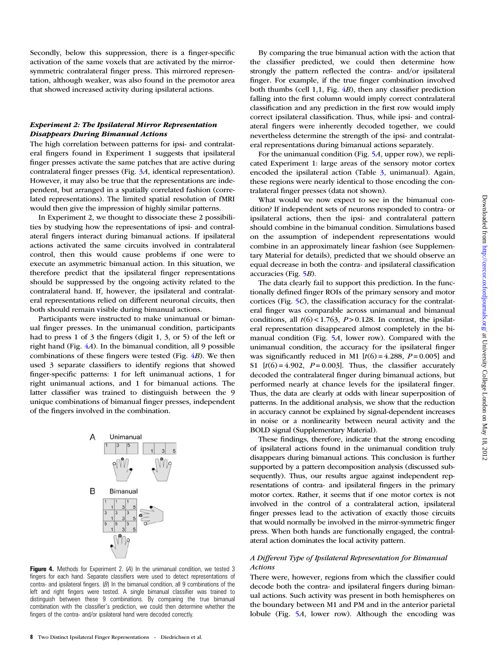Secondly, below this suppression, there is a finger-specific activation of the same voxels that are activated by the mirrorsymmetric contralateral finger press. This mirrored representation, although weaker, was also found in the premotor area that showed increased activity during ipsilateral actions.

# Experiment 2: The Ipsilateral Mirror Representation Disappears During Bimanual Actions

The high correlation between patterns for ipsi- and contralateral fingers found in Experiment 1 suggests that ipsilateral finger presses activate the same patches that are active during contralateral finger presses (Fig. [3](#page-6-0)A, identical representation). However, it may also be true that the representations are independent, but arranged in a spatially correlated fashion (correlated representations). The limited spatial resolution of fMRI would then give the impression of highly similar patterns.

In Experiment 2, we thought to dissociate these 2 possibilities by studying how the representations of ipsi- and contralateral fingers interact during bimanual actions. If ipsilateral actions activated the same circuits involved in contralateral control, then this would cause problems if one were to execute an asymmetric bimanual action. In this situation, we therefore predict that the ipsilateral finger representations should be suppressed by the ongoing activity related to the contralateral hand. If, however, the ipsilateral and contralateral representations relied on different neuronal circuits, then both should remain visible during bimanual actions.

Participants were instructed to make unimanual or bimanual finger presses. In the unimanual condition, participants had to press 1 of 3 the fingers (digit 1, 3, or 5) of the left or right hand (Fig.  $4A$ ). In the bimanual condition, all 9 possible combinations of these fingers were tested (Fig.  $4B$ ). We then used 3 separate classifiers to identify regions that showed finger-specific patterns: 1 for left unimanual actions, 1 for right unimanual actions, and 1 for bimanual actions. The latter classifier was trained to distinguish between the 9 unique combinations of bimanual finger presses, independent of the fingers involved in the combination.



Figure 4. Methods for Experiment 2. (4) In the unimanual condition, we tested 3 fingers for each hand. Separate classifiers were used to detect representations of contra- and ipsilateral fingers.  $(B)$  In the bimanual condition, all 9 combinations of the left and right fingers were tested. A single bimanual classifier was trained to distinguish between these 9 combinations. By comparing the true bimanual combination with the classifier's prediction, we could then determine whether the fingers of the contra- and/or ipsilateral hand were decoded correctly.

By comparing the true bimanual action with the action that the classifier predicted, we could then determine how strongly the pattern reflected the contra- and/or ipsilateral finger. For example, if the true finger combination involved both thumbs (cell 1,1, Fig.  $4B$ ), then any classifier prediction falling into the first column would imply correct contralateral classification and any prediction in the first row would imply correct ipsilateral classification. Thus, while ipsi- and contralateral fingers were inherently decoded together, we could nevertheless determine the strength of the ipsi- and contralateral representations during bimanual actions separately.

For the unimanual condition (Fig. [5](#page-8-0)A, upper row), we replicated Experiment 1: large areas of the sensory motor cortex encoded the ipsilateral action (Table [3,](#page-8-0) unimanual). Again, these regions were nearly identical to those encoding the contralateral finger presses (data not shown).

What would we now expect to see in the bimanual condition? If independent sets of neurons responded to contra- or ipsilateral actions, then the ipsi- and contralateral pattern should combine in the bimanual condition. Simulations based on the assumption of independent representations would combine in an approximately linear fashion (see [Supplemen](http://cercor.oxfordjournals.org/lookup/suppl/doi:10.1093/cercor/bhs120/-/DC1)[tary Material](http://cercor.oxfordjournals.org/lookup/suppl/doi:10.1093/cercor/bhs120/-/DC1) for details), predicted that we should observe an equal decrease in both the contra- and ipsilateral classification accuracies (Fig. [5](#page-8-0)B).

The data clearly fail to support this prediction. In the functionally defined finger ROIs of the primary sensory and motor cortices (Fig. [5](#page-8-0)C), the classification accuracy for the contralateral finger was comparable across unimanual and bimanual conditions, all  $t(6)$  < 1.763, P > 0.128. In contrast, the ipsilateral representation disappeared almost completely in the bimanual condition (Fig. [5](#page-8-0)A, lower row). Compared with the unimanual condition, the accuracy for the ipsilateral finger was significantly reduced in M1  $[t(6) = 4.288, P = 0.005]$  and S1  $[t(6) = 4.902, P = 0.003]$ . Thus, the classifier accurately decoded the contralateral finger during bimanual actions, but performed nearly at chance levels for the ipsilateral finger. Thus, the data are clearly at odds with linear superposition of patterns. In the additional analysis, we show that the reduction in accuracy cannot be explained by signal-dependent increases in noise or a nonlinearity between neural activity and the BOLD signal ([Supplementary Material](http://cercor.oxfordjournals.org/lookup/suppl/doi:10.1093/cercor/bhs120/-/DC1)).

These findings, therefore, indicate that the strong encoding of ipsilateral actions found in the unimanual condition truly disappears during bimanual actions. This conclusion is further supported by a pattern decomposition analysis (discussed subsequently). Thus, our results argue against independent representations of contra- and ipsilateral fingers in the primary motor cortex. Rather, it seems that if one motor cortex is not involved in the control of a contralateral action, ipsilateral finger presses lead to the activation of exactly those circuits that would normally be involved in the mirror-symmetric finger press. When both hands are functionally engaged, the contralateral action dominates the local activity pattern.

# A Different Type of Ipsilateral Representation for Bimanual Actions

There were, however, regions from which the classifier could decode both the contra- and ipsilateral fingers during bimanual actions. Such activity was present in both hemispheres on the boundary between M1 and PM and in the anterior parietal lobule (Fig. [5](#page-8-0)A, lower row). Although the encoding was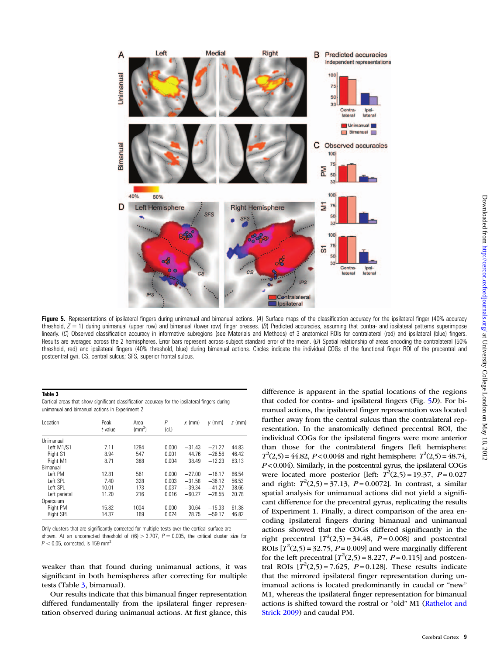<span id="page-8-0"></span>

Figure 5. Representations of ipsilateral fingers during unimanual and bimanual actions. (A) Surface maps of the classification accuracy for the ipsilateral finger (40% accuracy threshold,  $Z = 1$ ) during unimanual (upper row) and bimanual (lower row) finger presses. (B) Predicted accuracies, assuming that contra- and ipsilateral patterns superimpose linearly. (C) Observed classification accuracy in informative subregions (see Materials and Methods) of 3 anatomical ROIs for contralateral (red) and ipsilateral (blue) fingers. Results are averaged across the 2 hemispheres. Error bars represent across-subject standard error of the mean. (D) Spatial relationship of areas encoding the contralateral (50% threshold, red) and ipsilateral fingers (40% threshold, blue) during bimanual actions. Circles indicate the individual COGs of the functional finger ROI of the precentral and postcentral gyri. CS, central sulcus; SFS, superior frontal sulcus.

#### Table 3

Cortical areas that show significant classification accuracy for the ipsilateral fingers during unimanual and bimanual actions in Experiment 2

| Location         | Peak<br>$t$ -value | Area<br>$\rm (mm^2)$ | Ρ<br>(cl.) | $x$ (mm) | $v$ (mm) | $z$ (mm) |
|------------------|--------------------|----------------------|------------|----------|----------|----------|
| Unimanual        |                    |                      |            |          |          |          |
| Left M1/S1       | 7.11               | 1284                 | 0.000      | $-31.43$ | $-21.27$ | 44.83    |
| Right S1         | 8.94               | 547                  | 0.001      | 44.76    | $-26.56$ | 46.42    |
| Right M1         | 8.71               | 388                  | 0.004      | 38.49    | $-12.23$ | 63.13    |
| Bimanual         |                    |                      |            |          |          |          |
| Left PM          | 12.81              | 561                  | 0.000      | $-27.00$ | $-16.17$ | 66.54    |
| Left SPL         | 7.40               | 328                  | 0.003      | $-31.58$ | $-36.12$ | 56.53    |
| Left SPL         | 10.01              | 173                  | 0.037      | $-39.34$ | $-41.27$ | 38.66    |
| Left parietal    | 11.20              | 216                  | 0.016      | $-60.27$ | $-28.55$ | 20.78    |
| Operculum        |                    |                      |            |          |          |          |
| Right PM         | 15.82              | 1004                 | 0.000      | 30.64    | $-15.33$ | 61.38    |
| <b>Right SPL</b> | 14.37              | 169                  | 0.024      | 28.75    | $-59.17$ | 46.82    |

Only clusters that are significantly corrected for multiple tests over the cortical surface are shown. At an uncorrected threshold of  $t(6) > 3.707$ ,  $P = 0.005$ , the critical cluster size for  $P < 0.05$ , corrected, is 159 mm<sup>2</sup>.

weaker than that found during unimanual actions, it was significant in both hemispheres after correcting for multiple tests (Table 3, bimanual).

Our results indicate that this bimanual finger representation differed fundamentally from the ipsilateral finger representation observed during unimanual actions. At first glance, this difference is apparent in the spatial locations of the regions that coded for contra- and ipsilateral fingers (Fig. 5D). For bimanual actions, the ipsilateral finger representation was located further away from the central sulcus than the contralateral representation. In the anatomically defined precentral ROI, the individual COGs for the ipsilateral fingers were more anterior than those for the contralateral fingers [left hemisphere:  $T^2(2,5) = 44.82$ ,  $P < 0.0048$  and right hemisphere:  $T^2(2,5) = 48.74$ , P < 0.004). Similarly, in the postcentral gyrus, the ipsilateral COGs were located more posterior [left:  $T^2(2,5) = 19.37$ ,  $P = 0.027$ and right:  $T^2(2,5) = 37.13$ ,  $P = 0.0072$ ]. In contrast, a similar spatial analysis for unimanual actions did not yield a significant difference for the precentral gyrus, replicating the results of Experiment 1. Finally, a direct comparison of the area encoding ipsilateral fingers during bimanual and unimanual actions showed that the COGs differed significantly in the right precentral  $[T^2(2,5) = 34.48, P = 0.008]$  and postcentral ROIs  $[T^2(2,5) = 32.75, P = 0.009]$  and were marginally different for the left precentral  $[T^2(2,5) = 8.227, P = 0.115]$  and postcentral ROIs  $[T^2(2,5) = 7.625, P = 0.128]$ . These results indicate that the mirrored ipsilateral finger representation during unimanual actions is located predominantly in caudal or "new" M1, whereas the ipsilateral finger representation for bimanual actions is shifted toward the rostral or "old" M1 ([Rathelot and](#page-14-0) [Strick 2009](#page-14-0)) and caudal PM.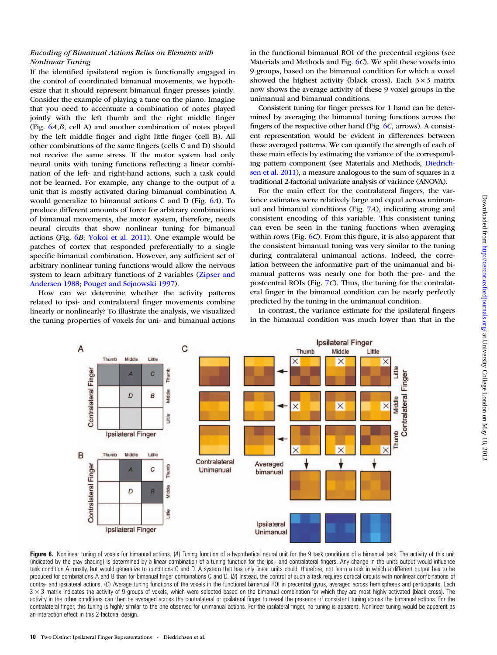# <span id="page-9-0"></span>Encoding of Bimanual Actions Relies on Elements with Nonlinear Tuning

If the identified ipsilateral region is functionally engaged in the control of coordinated bimanual movements, we hypothesize that it should represent bimanual finger presses jointly. Consider the example of playing a tune on the piano. Imagine that you need to accentuate a combination of notes played jointly with the left thumb and the right middle finger (Fig. 6A,B, cell A) and another combination of notes played by the left middle finger and right little finger (cell B). All other combinations of the same fingers (cells C and D) should not receive the same stress. If the motor system had only neural units with tuning functions reflecting a linear combination of the left- and right-hand actions, such a task could not be learned. For example, any change to the output of a unit that is mostly activated during bimanual combination A would generalize to bimanual actions C and D (Fig. 6A). To produce different amounts of force for arbitrary combinations of bimanual movements, the motor system, therefore, needs neural circuits that show nonlinear tuning for bimanual actions (Fig. 6B; [Yokoi et al. 2011\)](#page-15-0). One example would be patches of cortex that responded preferentially to a single specific bimanual combination. However, any sufficient set of arbitrary nonlinear tuning functions would allow the nervous system to learn arbitrary functions of 2 variables ([Zipser and](#page-15-0) [Andersen 1988;](#page-15-0) [Pouget and Sejnowski 1997\)](#page-14-0).

How can we determine whether the activity patterns related to ipsi- and contralateral finger movements combine linearly or nonlinearly? To illustrate the analysis, we visualized the tuning properties of voxels for uni- and bimanual actions

in the functional bimanual ROI of the precentral regions (see Materials and Methods and Fig. 6C). We split these voxels into 9 groups, based on the bimanual condition for which a voxel showed the highest activity (black cross). Each  $3 \times 3$  matrix now shows the average activity of these 9 voxel groups in the unimanual and bimanual conditions.

Consistent tuning for finger presses for 1 hand can be determined by averaging the bimanual tuning functions across the fingers of the respective other hand (Fig. 6C, arrows). A consistent representation would be evident in differences between these averaged patterns. We can quantify the strength of each of these main effects by estimating the variance of the corresponding pattern component (see Materials and Methods, [Diedrich](#page-13-0)[sen et al. 2011\)](#page-13-0), a measure analogous to the sum of squares in a traditional 2-factorial univariate analysis of variance (ANOVA).

For the main effect for the contralateral fingers, the variance estimates were relatively large and equal across unimanual and bimanual conditions (Fig. [7](#page-10-0)A), indicating strong and consistent encoding of this variable. This consistent tuning can even be seen in the tuning functions when averaging within rows (Fig.  $6C$ ). From this figure, it is also apparent that the consistent bimanual tuning was very similar to the tuning during contralateral unimanual actions. Indeed, the correlation between the informative part of the unimanual and bimanual patterns was nearly one for both the pre- and the postcentral ROIs (Fig. [7](#page-10-0)C). Thus, the tuning for the contralateral finger in the bimanual condition can be nearly perfectly predicted by the tuning in the unimanual condition.

In contrast, the variance estimate for the ipsilateral fingers in the bimanual condition was much lower than that in the



Figure 6. Nonlinear tuning of voxels for bimanual actions. (A) Tuning function of a hypothetical neural unit for the 9 task conditions of a bimanual task. The activity of this unit (indicated by the gray shading) is determined by a linear combination of a tuning function for the ipsi- and contralateral fingers. Any change in the units output would influence task condition A mostly, but would generalize to conditions C and D. A system that has only linear units could, therefore, not learn a task in which a different output has to be produced for combinations A and B than for bimanual finger combinations C and D. (B) Instead, the control of such a task requires cortical circuits with nonlinear combinations of contra- and ipsilateral actions. (C) Average tuning functions of the voxels in the functional bimanual ROI in precentral gyrus, averaged across hemispheres and participants. Each  $3 \times 3$  matrix indicates the activity of 9 groups of voxels, which were selected based on the bimanual combination for which they are most highly activated (black cross). The activity in the other conditions can then be averaged across the contralateral or ipsilateral finger to reveal the presence of consistent tuning across the bimanual actions. For the contralateral finger, this tuning is highly similar to the one observed for unimanual actions. For the ipsilateral finger, no tuning is apparent. Nonlinear tuning would be apparent as an interaction effect in this 2-factorial design.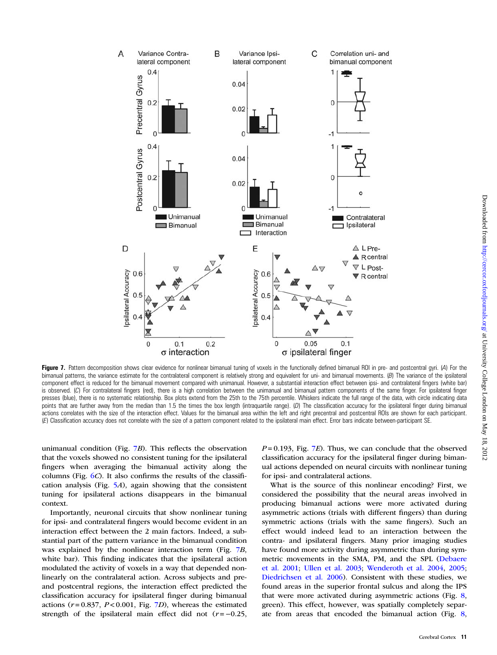<span id="page-10-0"></span>

Figure 7. Pattern decomposition shows clear evidence for nonlinear bimanual tuning of voxels in the functionally defined bimanual ROI in pre- and postcentral gyri. (A) For the bimanual patterns, the variance estimate for the contralateral component is relatively strong and equivalent for uni- and bimanual movements. (B) The variance of the ipsilateral component effect is reduced for the bimanual movement compared with unimanual. However, a substantial interaction effect between ipsi- and contralateral fingers (white bar) is observed. (C) For contralateral fingers (red), there is a high correlation between the unimanual and bimanual pattern components of the same finger. For ipsilateral finger presses (blue), there is no systematic relationship. Box plots extend from the 25th to the 75th percentile. Whiskers indicate the full range of the data, with circle indicating data points that are further away from the median than 1.5 the times the box length (intraquartile range). (D) The classification accuracy for the ipsilateral finger during bimanual actions correlates with the size of the interaction effect. Values for the bimanual area within the left and right precentral and postcentral ROIs are shown for each participant. (E) Classification accuracy does not correlate with the size of a pattern component related to the ipsilateral main effect. Error bars indicate between-participant SE.

unimanual condition (Fig. 7B). This reflects the observation that the voxels showed no consistent tuning for the ipsilateral fingers when averaging the bimanual activity along the columns (Fig.  $6C$  $6C$ ). It also confirms the results of the classification analysis (Fig.  $5A$  $5A$ ), again showing that the consistent tuning for ipsilateral actions disappears in the bimanual context.

Importantly, neuronal circuits that show nonlinear tuning for ipsi- and contralateral fingers would become evident in an interaction effect between the 2 main factors. Indeed, a substantial part of the pattern variance in the bimanual condition was explained by the nonlinear interaction term (Fig. 7B, white bar). This finding indicates that the ipsilateral action modulated the activity of voxels in a way that depended nonlinearly on the contralateral action. Across subjects and preand postcentral regions, the interaction effect predicted the classification accuracy for ipsilateral finger during bimanual actions ( $r = 0.837$ ,  $P < 0.001$ , Fig. 7D), whereas the estimated strength of the ipsilateral main effect did not  $(r = -0.25$ ,

 $P = 0.193$ , Fig. 7E). Thus, we can conclude that the observed classification accuracy for the ipsilateral finger during bimanual actions depended on neural circuits with nonlinear tuning for ipsi- and contralateral actions.

What is the source of this nonlinear encoding? First, we considered the possibility that the neural areas involved in producing bimanual actions were more activated during asymmetric actions (trials with different fingers) than during symmetric actions (trials with the same fingers). Such an effect would indeed lead to an interaction between the contra- and ipsilateral fingers. Many prior imaging studies have found more activity during asymmetric than during symmetric movements in the SMA, PM, and the SPL ([Debaere](#page-13-0) [et al. 2001;](#page-13-0) [Ullen et al. 2003](#page-14-0); [Wenderoth et al. 2004,](#page-14-0) [2005;](#page-14-0) [Diedrichsen et al. 2006\)](#page-13-0). Consistent with these studies, we found areas in the superior frontal sulcus and along the IPS that were more activated during asymmetric actions (Fig. [8,](#page-11-0) green). This effect, however, was spatially completely separate from areas that encoded the bimanual action (Fig. [8,](#page-11-0)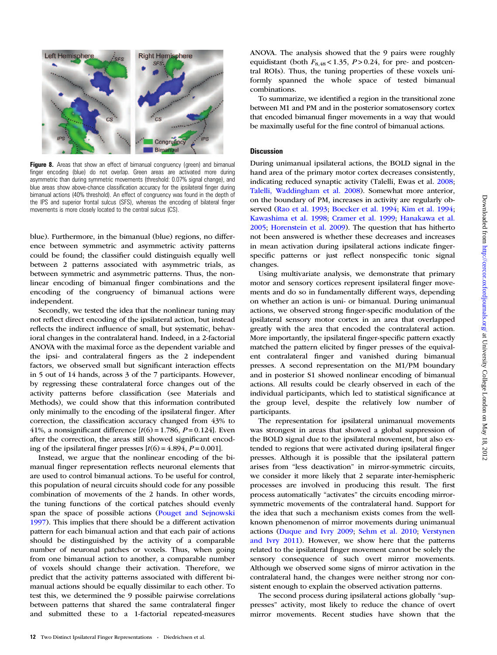<span id="page-11-0"></span>

Figure 8. Areas that show an effect of bimanual congruency (green) and bimanual finger encoding (blue) do not overlap. Green areas are activated more during asymmetric than during symmetric movements (threshold: 0.07% signal change), and blue areas show above-chance classification accuracy for the ipsilateral finger during bimanual actions (40% threshold). An effect of congruency was found in the depth of the IPS and superior frontal sulcus (SFS), whereas the encoding of bilateral finger movements is more closely located to the central sulcus (CS).

blue). Furthermore, in the bimanual (blue) regions, no difference between symmetric and asymmetric activity patterns could be found; the classifier could distinguish equally well between 2 patterns associated with asymmetric trials, as between symmetric and asymmetric patterns. Thus, the nonlinear encoding of bimanual finger combinations and the encoding of the congruency of bimanual actions were independent.

Secondly, we tested the idea that the nonlinear tuning may not reflect direct encoding of the ipsilateral action, but instead reflects the indirect influence of small, but systematic, behavioral changes in the contralateral hand. Indeed, in a 2-factorial ANOVA with the maximal force as the dependent variable and the ipsi- and contralateral fingers as the 2 independent factors, we observed small but significant interaction effects in 5 out of 14 hands, across 3 of the 7 participants. However, by regressing these contralateral force changes out of the activity patterns before classification (see Materials and Methods), we could show that this information contributed only minimally to the encoding of the ipsilateral finger. After correction, the classification accuracy changed from 43% to 41%, a nonsignificant difference  $[t(6) = 1.786, P = 0.124]$ . Even after the correction, the areas still showed significant encoding of the ipsilateral finger presses  $[t(6) = 4.894, P = 0.001]$ .

Instead, we argue that the nonlinear encoding of the bimanual finger representation reflects neuronal elements that are used to control bimanual actions. To be useful for control, this population of neural circuits should code for any possible combination of movements of the 2 hands. In other words, the tuning functions of the cortical patches should evenly span the space of possible actions [\(Pouget and Sejnowski](#page-14-0) [1997\)](#page-14-0). This implies that there should be a different activation pattern for each bimanual action and that each pair of actions should be distinguished by the activity of a comparable number of neuronal patches or voxels. Thus, when going from one bimanual action to another, a comparable number of voxels should change their activation. Therefore, we predict that the activity patterns associated with different bimanual actions should be equally dissimilar to each other. To test this, we determined the 9 possible pairwise correlations between patterns that shared the same contralateral finger and submitted these to a 1-factorial repeated-measures ANOVA. The analysis showed that the 9 pairs were roughly equidistant (both  $F_{8,48}$  < 1.35,  $P > 0.24$ , for pre- and postcentral ROIs). Thus, the tuning properties of these voxels uniformly spanned the whole space of tested bimanual combinations.

To summarize, we identified a region in the transitional zone between M1 and PM and in the posterior somatosensory cortex that encoded bimanual finger movements in a way that would be maximally useful for the fine control of bimanual actions.

### **Discussion**

During unimanual ipsilateral actions, the BOLD signal in the hand area of the primary motor cortex decreases consistently, indicating reduced synaptic activity (Talelli, Ewas et al. [2008](#page-14-0); [Talelli, Waddingham et al. 2008](#page-14-0)). Somewhat more anterior, on the boundary of PM, increases in activity are regularly observed ([Rao et al. 1993](#page-14-0); [Boecker et al. 1994](#page-13-0); [Kim et al. 1994](#page-14-0); [Kawashima et al. 1998;](#page-14-0) [Cramer et al. 1999](#page-13-0); [Hanakawa et al.](#page-14-0) [2005;](#page-14-0) [Horenstein et al. 2009\)](#page-14-0). The question that has hitherto not been answered is whether these decreases and increases in mean activation during ipsilateral actions indicate fingerspecific patterns or just reflect nonspecific tonic signal changes.

Using multivariate analysis, we demonstrate that primary motor and sensory cortices represent ipsilateral finger movements and do so in fundamentally different ways, depending on whether an action is uni- or bimanual. During unimanual actions, we observed strong finger-specific modulation of the ipsilateral sensory motor cortex in an area that overlapped greatly with the area that encoded the contralateral action. More importantly, the ipsilateral finger-specific pattern exactly matched the pattern elicited by finger presses of the equivalent contralateral finger and vanished during bimanual presses. A second representation on the M1/PM boundary and in posterior S1 showed nonlinear encoding of bimanual actions. All results could be clearly observed in each of the individual participants, which led to statistical significance at the group level, despite the relatively low number of participants.

The representation for ipsilateral unimanual movements was strongest in areas that showed a global suppression of the BOLD signal due to the ipsilateral movement, but also extended to regions that were activated during ipsilateral finger presses. Although it is possible that the ipsilateral pattern arises from "less deactivation" in mirror-symmetric circuits, we consider it more likely that 2 separate inter-hemispheric processes are involved in producing this result. The first process automatically "activates" the circuits encoding mirrorsymmetric movements of the contralateral hand. Support for the idea that such a mechanism exists comes from the wellknown phenomenon of mirror movements during unimanual actions ([Duque and Ivry 2009](#page-13-0); [Sehm et al. 2010](#page-14-0); [Verstynen](#page-14-0) [and Ivry 2011\)](#page-14-0). However, we show here that the patterns related to the ipsilateral finger movement cannot be solely the sensory consequence of such overt mirror movements. Although we observed some signs of mirror activation in the contralateral hand, the changes were neither strong nor consistent enough to explain the observed activation patterns.

The second process during ipsilateral actions globally "suppresses" activity, most likely to reduce the chance of overt mirror movements. Recent studies have shown that the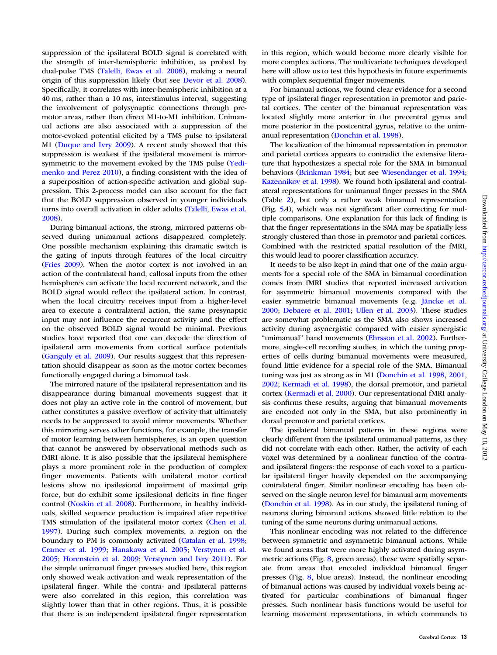suppression of the ipsilateral BOLD signal is correlated with the strength of inter-hemispheric inhibition, as probed by dual-pulse TMS ([Talelli, Ewas et al. 2008](#page-14-0)), making a neural origin of this suppression likely (but see [Devor et al. 2008](#page-13-0)). Specifically, it correlates with inter-hemispheric inhibition at a 40 ms, rather than a 10 ms, interstimulus interval, suggesting the involvement of polysynaptic connections through premotor areas, rather than direct M1-to-M1 inhibition. Unimanual actions are also associated with a suppression of the motor-evoked potential elicited by a TMS pulse to ipsilateral M1 [\(Duque and Ivry 2009](#page-13-0)). A recent study showed that this suppression is weakest if the ipsilateral movement is mirrorsymmetric to the movement evoked by the TMS pulse [\(Yedi](#page-15-0)[menko and Perez 2010\)](#page-15-0), a finding consistent with the idea of a superposition of action-specific activation and global suppression. This 2-process model can also account for the fact that the BOLD suppression observed in younger individuals turns into overall activation in older adults ([Talelli, Ewas et al.](#page-14-0) [2008](#page-14-0)).

During bimanual actions, the strong, mirrored patterns observed during unimanual actions disappeared completely. One possible mechanism explaining this dramatic switch is the gating of inputs through features of the local circuitry [\(Fries 2009\)](#page-14-0). When the motor cortex is not involved in an action of the contralateral hand, callosal inputs from the other hemispheres can activate the local recurrent network, and the BOLD signal would reflect the ipsilateral action. In contrast, when the local circuitry receives input from a higher-level area to execute a contralateral action, the same presynaptic input may not influence the recurrent activity and the effect on the observed BOLD signal would be minimal. Previous studies have reported that one can decode the direction of ipsilateral arm movements from cortical surface potentials [\(Ganguly et al. 2009](#page-14-0)). Our results suggest that this representation should disappear as soon as the motor cortex becomes functionally engaged during a bimanual task.

The mirrored nature of the ipsilateral representation and its disappearance during bimanual movements suggest that it does not play an active role in the control of movement, but rather constitutes a passive overflow of activity that ultimately needs to be suppressed to avoid mirror movements. Whether this mirroring serves other functions, for example, the transfer of motor learning between hemispheres, is an open question that cannot be answered by observational methods such as fMRI alone. It is also possible that the ipsilateral hemisphere plays a more prominent role in the production of complex finger movements. Patients with unilateral motor cortical lesions show no ipsilesional impairment of maximal grip force, but do exhibit some ipsilesional deficits in fine finger control [\(Noskin et al. 2008](#page-14-0)). Furthermore, in healthy individuals, skilled sequence production is impaired after repetitive TMS stimulation of the ipsilateral motor cortex ([Chen et al.](#page-13-0) [1997](#page-13-0)). During such complex movements, a region on the boundary to PM is commonly activated ([Catalan et al. 1998;](#page-13-0) [Cramer et al. 1999](#page-13-0); [Hanakawa et al. 2005;](#page-14-0) [Verstynen et al.](#page-14-0) [2005](#page-14-0); [Horenstein et al. 2009;](#page-14-0) [Verstynen and Ivry 2011](#page-14-0)). For the simple unimanual finger presses studied here, this region only showed weak activation and weak representation of the ipsilateral finger. While the contra- and ipsilateral patterns were also correlated in this region, this correlation was slightly lower than that in other regions. Thus, it is possible that there is an independent ipsilateral finger representation in this region, which would become more clearly visible for more complex actions. The multivariate techniques developed here will allow us to test this hypothesis in future experiments with complex sequential finger movements.

For bimanual actions, we found clear evidence for a second type of ipsilateral finger representation in premotor and parietal cortices. The center of the bimanual representation was located slightly more anterior in the precentral gyrus and more posterior in the postcentral gyrus, relative to the unimanual representation [\(Donchin et al. 1998\)](#page-13-0).

The localization of the bimanual representation in premotor and parietal cortices appears to contradict the extensive literature that hypothesizes a special role for the SMA in bimanual behaviors [\(Brinkman 1984](#page-13-0); but see [Wiesendanger et al. 1994;](#page-15-0) [Kazennikov et al. 1998\)](#page-14-0). We found both ipsilateral and contralateral representations for unimanual finger presses in the SMA (Table [2](#page-5-0)), but only a rather weak bimanual representation (Fig. [5](#page-8-0)A), which was not significant after correcting for multiple comparisons. One explanation for this lack of finding is that the finger representations in the SMA may be spatially less strongly clustered than those in premotor and parietal cortices. Combined with the restricted spatial resolution of the fMRI, this would lead to poorer classification accuracy.

It needs to be also kept in mind that one of the main arguments for a special role of the SMA in bimanual coordination comes from fMRI studies that reported increased activation for asymmetric bimanual movements compared with the easier symmetric bimanual movements (e.g. [Jäncke et al.](#page-14-0) [2000](#page-14-0); [Debaere et al. 2001;](#page-13-0) [Ullen et al. 2003\)](#page-14-0). These studies are somewhat problematic as the SMA also shows increased activity during asynergistic compared with easier synergistic "unimanual" hand movements [\(Ehrsson et al. 2002](#page-13-0)). Furthermore, single-cell recording studies, in which the tuning properties of cells during bimanual movements were measured, found little evidence for a special role of the SMA. Bimanual tuning was just as strong as in M1 [\(Donchin et al. 1998](#page-13-0), [2001,](#page-13-0) [2002](#page-13-0); [Kermadi et al. 1998](#page-14-0)), the dorsal premotor, and parietal cortex [\(Kermadi et al. 2000](#page-14-0)). Our representational fMRI analysis confirms these results, arguing that bimanual movements are encoded not only in the SMA, but also prominently in dorsal premotor and parietal cortices.

The ipsilateral bimanual patterns in these regions were clearly different from the ipsilateral unimanual patterns, as they did not correlate with each other. Rather, the activity of each voxel was determined by a nonlinear function of the contraand ipsilateral fingers: the response of each voxel to a particular ipsilateral finger heavily depended on the accompanying contralateral finger. Similar nonlinear encoding has been observed on the single neuron level for bimanual arm movements [\(Donchin et al. 1998](#page-13-0)). As in our study, the ipsilateral tuning of neurons during bimanual actions showed little relation to the tuning of the same neurons during unimanual actions.

This nonlinear encoding was not related to the difference between symmetric and asymmetric bimanual actions. While we found areas that were more highly activated during asymmetric actions (Fig. [8,](#page-11-0) green areas), these were spatially separate from areas that encoded individual bimanual finger presses (Fig. [8](#page-11-0), blue areas). Instead, the nonlinear encoding of bimanual actions was caused by individual voxels being activated for particular combinations of bimanual finger presses. Such nonlinear basis functions would be useful for learning movement representations, in which commands to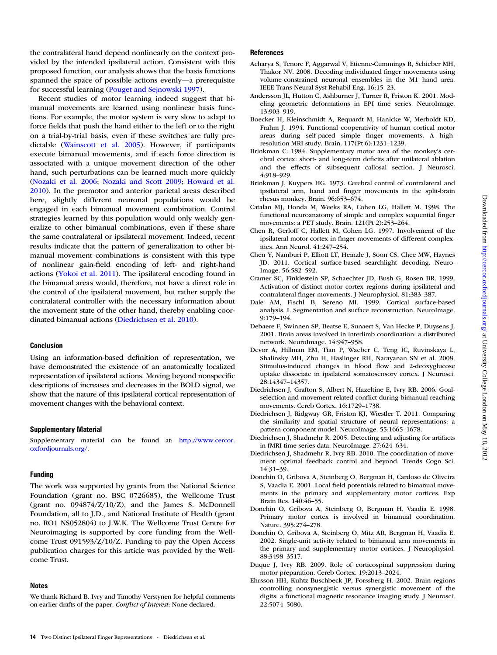<span id="page-13-0"></span>the contralateral hand depend nonlinearly on the context provided by the intended ipsilateral action. Consistent with this proposed function, our analysis shows that the basis functions spanned the space of possible actions evenly—a prerequisite for successful learning [\(Pouget and Sejnowski 1997\)](#page-14-0).

Recent studies of motor learning indeed suggest that bimanual movements are learned using nonlinear basis functions. For example, the motor system is very slow to adapt to force fields that push the hand either to the left or to the right on a trial-by-trial basis, even if these switches are fully predictable [\(Wainscott et al. 2005\)](#page-14-0). However, if participants execute bimanual movements, and if each force direction is associated with a unique movement direction of the other hand, such perturbations can be learned much more quickly [\(Nozaki et al. 2006;](#page-14-0) [Nozaki and Scott 2009](#page-14-0); [Howard et al.](#page-14-0) [2010\)](#page-14-0). In the premotor and anterior parietal areas described here, slightly different neuronal populations would be engaged in each bimanual movement combination. Control strategies learned by this population would only weakly generalize to other bimanual combinations, even if these share the same contralateral or ipsilateral movement. Indeed, recent results indicate that the pattern of generalization to other bimanual movement combinations is consistent with this type of nonlinear gain-field encoding of left- and right-hand actions ([Yokoi et al. 2011](#page-15-0)). The ipsilateral encoding found in the bimanual areas would, therefore, not have a direct role in the control of the ipsilateral movement, but rather supply the contralateral controller with the necessary information about the movement state of the other hand, thereby enabling coordinated bimanual actions (Diedrichsen et al. 2010).

## Conclusion

Using an information-based definition of representation, we have demonstrated the existence of an anatomically localized representation of ipsilateral actions. Moving beyond nonspecific descriptions of increases and decreases in the BOLD signal, we show that the nature of this ipsilateral cortical representation of movement changes with the behavioral context.

#### Supplementary Material

[Supplementary material can be found at:](http://cercor.oxfordjournals.org/lookup/suppl/doi:10.1093/cercor/bhs120/-/DC1) [http://www.cercor.](http://www.cercor.oxfourdjournals.org/) [oxfordjournals.org/](http://www.cercor.oxfourdjournals.org/).

## Funding

The work was supported by grants from the National Science Foundation (grant no. BSC 0726685), the Wellcome Trust (grant no.  $0.094874/Z/10/Z$ ), and the James S. McDonnell Foundation, all to J.D., and National Institute of Health (grant no. RO1 NS052804) to J.W.K. The Wellcome Trust Centre for Neuroimaging is supported by core funding from the Wellcome Trust 091593/Z/10/Z. Funding to pay the Open Access publication charges for this article was provided by the Wellcome Trust.

#### Notes

We thank Richard B. Ivry and Timothy Verstynen for helpful comments on earlier drafts of the paper. Conflict of Interest: None declared.

#### **References**

- Acharya S, Tenore F, Aggarwal V, Etienne-Cummings R, Schieber MH, Thakor NV. 2008. Decoding individuated finger movements using volume-constrained neuronal ensembles in the M1 hand area. IEEE Trans Neural Syst Rehabil Eng. 16:15–23.
- Andersson JL, Hutton C, Ashburner J, Turner R, Friston K. 2001. Modeling geometric deformations in EPI time series. NeuroImage. 13:903–919.
- Boecker H, Kleinschmidt A, Requardt M, Hanicke W, Merboldt KD, Frahm J. 1994. Functional cooperativity of human cortical motor areas during self-paced simple finger movements. A highresolution MRI study. Brain. 117(Pt 6):1231–1239.
- Brinkman C. 1984. Supplementary motor area of the monkey's cerebral cortex: short- and long-term deficits after unilateral ablation and the effects of subsequent callosal section. J Neurosci. 4:918–929.
- Brinkman J, Kuypers HG. 1973. Cerebral control of contralateral and ipsilateral arm, hand and finger movements in the split-brain rhesus monkey. Brain. 96:653–674.
- Catalan MJ, Honda M, Weeks RA, Cohen LG, Hallett M. 1998. The functional neuroanatomy of simple and complex sequential finger movements: a PET study. Brain. 121(Pt 2):253–264.
- Chen R, Gerloff C, Hallett M, Cohen LG. 1997. Involvement of the ipsilateral motor cortex in finger movements of different complexities. Ann Neurol. 41:247–254.
- Chen Y, Namburi P, Elliott LT, Heinzle J, Soon CS, Chee MW, Haynes JD. 2011. Cortical surface-based searchlight decoding. Neuro-Image. 56:582–592.
- Cramer SC, Finklestein SP, Schaechter JD, Bush G, Rosen BR. 1999. Activation of distinct motor cortex regions during ipsilateral and contralateral finger movements. J Neurophysiol. 81:383–387.
- Dale AM, Fischl B, Sereno MI. 1999. Cortical surface-based analysis. I. Segmentation and surface reconstruction. NeuroImage. 9:179–194.
- Debaere F, Swinnen SP, Beatse E, Sunaert S, Van Hecke P, Duysens J. 2001. Brain areas involved in interlimb coordination: a distributed network. NeuroImage. 14:947–958.
- Devor A, Hillman EM, Tian P, Waeber C, Teng IC, Ruvinskaya L, Shalinsky MH, Zhu H, Haslinger RH, Narayanan SN et al. 2008. Stimulus-induced changes in blood flow and 2-deoxyglucose uptake dissociate in ipsilateral somatosensory cortex. J Neurosci. 28:14347–14357.
- Diedrichsen J, Grafton S, Albert N, Hazeltine E, Ivry RB. 2006. Goalselection and movement-related conflict during bimanual reaching movements. Cereb Cortex. 16:1729–1738.
- Diedrichsen J, Ridgway GR, Friston KJ, Wiestler T. 2011. Comparing the similarity and spatial structure of neural representations: a pattern-component model. NeuroImage. 55:1665–1678.
- Diedrichsen J, Shadmehr R. 2005. Detecting and adjusting for artifacts in fMRI time series data. NeuroImage. 27:624–634.
- Diedrichsen J, Shadmehr R, Ivry RB. 2010. The coordination of movement: optimal feedback control and beyond. Trends Cogn Sci. 14:31–39.
- Donchin O, Gribova A, Steinberg O, Bergman H, Cardoso de Oliveira S, Vaadia E. 2001. Local field potentials related to bimanual movements in the primary and supplementary motor cortices. Exp Brain Res. 140:46–55.
- Donchin O, Gribova A, Steinberg O, Bergman H, Vaadia E. 1998. Primary motor cortex is involved in bimanual coordination. Nature. 395:274–278.
- Donchin O, Gribova A, Steinberg O, Mitz AR, Bergman H, Vaadia E. 2002. Single-unit activity related to bimanual arm movements in the primary and supplementary motor cortices. J Neurophysiol. 88:3498–3517.
- Duque J, Ivry RB. 2009. Role of corticospinal suppression during motor preparation. Cereb Cortex. 19:2013–2024.
- Ehrsson HH, Kuhtz-Buschbeck JP, Forssberg H. 2002. Brain regions controlling nonsynergistic versus synergistic movement of the digits: a functional magnetic resonance imaging study. J Neurosci. 22:5074–5080.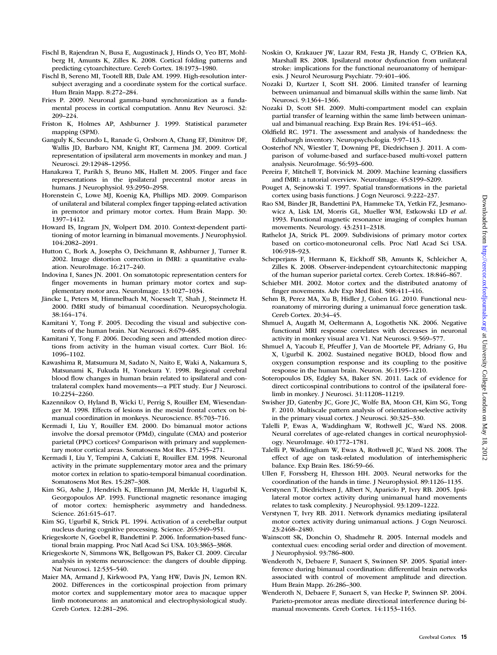Downloaded from <http://cercor.oxfordjournals.org/> at University College London on May 18, 2012

 $.2012$ 

- <span id="page-14-0"></span>Fischl B, Rajendran N, Busa E, Augustinack J, Hinds O, Yeo BT, Mohlberg H, Amunts K, Zilles K. 2008. Cortical folding patterns and predicting cytoarchitecture. Cereb Cortex. 18:1973–1980.
- Fischl B, Sereno MI, Tootell RB, Dale AM. 1999. High-resolution intersubject averaging and a coordinate system for the cortical surface. Hum Brain Mapp. 8:272–284.
- Fries P. 2009. Neuronal gamma-band synchronization as a fundamental process in cortical computation. Annu Rev Neurosci. 32: 209–224.
- Friston K, Holmes AP, Ashburner J. 1999. Statistical parameter mapping (SPM).
- Ganguly K, Secundo L, Ranade G, Orsborn A, Chang EF, Dimitrov DF, Wallis JD, Barbaro NM, Knight RT, Carmena JM. 2009. Cortical representation of ipsilateral arm movements in monkey and man. J Neurosci. 29:12948–12956.
- Hanakawa T, Parikh S, Bruno MK, Hallett M. 2005. Finger and face representations in the ipsilateral precentral motor areas in humans. J Neurophysiol. 93:2950–2958.
- Horenstein C, Lowe MJ, Koenig KA, Phillips MD. 2009. Comparison of unilateral and bilateral complex finger tapping-related activation in premotor and primary motor cortex. Hum Brain Mapp. 30: 1397–1412.
- Howard IS, Ingram JN, Wolpert DM. 2010. Context-dependent partitioning of motor learning in bimanual movements. J Neurophysiol. 104:2082–2091.
- Hutton C, Bork A, Josephs O, Deichmann R, Ashburner J, Turner R. 2002. Image distortion correction in fMRI: a quantitative evaluation. NeuroImage. 16:217–240.
- Indovina I, Sanes JN. 2001. On somatotopic representation centers for finger movements in human primary motor cortex and supplementary motor area. NeuroImage. 13:1027–1034.
- Jäncke L, Peters M, Himmelbach M, Noesselt T, Shah J, Steinmetz H. 2000. fMRI study of bimanual coordination. Neuropsychologia. 38:164–174.
- Kamitani Y, Tong F. 2005. Decoding the visual and subjective contents of the human brain. Nat Neurosci. 8:679–685.
- Kamitani Y, Tong F. 2006. Decoding seen and attended motion directions from activity in the human visual cortex. Curr Biol. 16: 1096–1102.
- Kawashima R, Matsumura M, Sadato N, Naito E, Waki A, Nakamura S, Matsunami K, Fukuda H, Yonekura Y. 1998. Regional cerebral blood flow changes in human brain related to ipsilateral and contralateral complex hand movements—a PET study. Eur J Neurosci. 10:2254–2260.
- Kazennikov O, Hyland B, Wicki U, Perrig S, Rouiller EM, Wiesendanger M. 1998. Effects of lesions in the mesial frontal cortex on bimanual coordination in monkeys. Neuroscience. 85:703–716.
- Kermadi I, Liu Y, Rouiller EM. 2000. Do bimanual motor actions involve the dorsal premotor (PMd), cingulate (CMA) and posterior parietal (PPC) cortices? Comparison with primary and supplementary motor cortical areas. Somatosens Mot Res. 17:255–271.
- Kermadi I, Liu Y, Tempini A, Calciati E, Rouiller EM. 1998. Neuronal activity in the primate supplementary motor area and the primary motor cortex in relation to spatio-temporal bimanual coordination. Somatosens Mot Res. 15:287–308.
- Kim SG, Ashe J, Hendrich K, Ellermann JM, Merkle H, Uagurbil K, Georgopoulos AP. 1993. Functional magnetic resonance imaging of motor cortex: hemispheric asymmetry and handedness. Science. 261:615–617.
- Kim SG, Ugurbil K, Strick PL. 1994. Activation of a cerebellar output nucleus during cognitive processing. Science. 265:949–951.
- Kriegeskorte N, Goebel R, Bandettini P. 2006. Information-based functional brain mapping. Proc Natl Acad Sci USA. 103:3863–3868.
- Kriegeskorte N, Simmons WK, Bellgowan PS, Baker CI. 2009. Circular analysis in systems neuroscience: the dangers of double dipping. Nat Neurosci. 12:535–540.
- Maier MA, Armand J, Kirkwood PA, Yang HW, Davis JN, Lemon RN. 2002. Differences in the corticospinal projection from primary motor cortex and supplementary motor area to macaque upper limb motoneurons: an anatomical and electrophysiological study. Cereb Cortex. 12:281–296.
- Noskin O, Krakauer JW, Lazar RM, Festa JR, Handy C, O'Brien KA, Marshall RS. 2008. Ipsilateral motor dysfunction from unilateral stroke: implications for the functional neuroanatomy of hemiparesis. J Neurol Neurosurg Psychiatr. 79:401–406.
- Nozaki D, Kurtzer I, Scott SH. 2006. Limited transfer of learning between unimanual and bimanual skills within the same limb. Nat Neurosci. 9:1364–1366.
- Nozaki D, Scott SH. 2009. Multi-compartment model can explain partial transfer of learning within the same limb between unimanual and bimanual reaching. Exp Brain Res. 194:451–463.
- Oldfield RC. 1971. The assessment and analysis of handedness: the Edinburgh inventory. Neuropsychologia. 9:97–113.
- Oosterhof NN, Wiestler T, Downing PE, Diedrichsen J. 2011. A comparison of volume-based and surface-based multi-voxel pattern analysis. NeuroImage. 56:593–600.
- Pereira F, Mitchell T, Botvinick M. 2009. Machine learning classifiers and fMRI: a tutorial overview. NeuroImage. 45:S199–S209.
- Pouget A, Sejnowski T. 1997. Spatial transformations in the parietal cortex using basis functions. J Cogn Neurosci. 9:222–237.
- Rao SM, Binder JR, Bandettini PA, Hammeke TA, Yetkin FZ, Jesmanowicz A, Lisk LM, Morris GL, Mueller WM, Estkowski LD et al. 1993. Functional magnetic resonance imaging of complex human movements. Neurology. 43:2311–2318.
- Rathelot JA, Strick PL. 2009. Subdivisions of primary motor cortex based on cortico-motoneuronal cells. Proc Natl Acad Sci USA. 106:918–923.
- Scheperjans F, Hermann K, Eickhoff SB, Amunts K, Schleicher A, Zilles K. 2008. Observer-independent cytoarchitectonic mapping of the human superior parietal cortex. Cereb Cortex. 18:846–867.
- Schieber MH. 2002. Motor cortex and the distributed anatomy of finger movements. Adv Exp Med Biol. 508:411–416.
- Sehm B, Perez MA, Xu B, Hidler J, Cohen LG. 2010. Functional neuroanatomy of mirroring during a unimanual force generation task. Cereb Cortex. 20:34–45.
- Shmuel A, Augath M, Oeltermann A, Logothetis NK. 2006. Negative functional MRI response correlates with decreases in neuronal activity in monkey visual area V1. Nat Neurosci. 9:569–577.
- Shmuel A, Yacoub E, Pfeuffer J, Van de Moortele PF, Adriany G, Hu X, Ugurbil K. 2002. Sustained negative BOLD, blood flow and oxygen consumption response and its coupling to the positive response in the human brain. Neuron. 36:1195–1210.
- Soteropoulos DS, Edgley SA, Baker SN. 2011. Lack of evidence for direct corticospinal contributions to control of the ipsilateral forelimb in monkey. J Neurosci. 31:11208–11219.
- Swisher JD, Gatenby JC, Gore JC, Wolfe BA, Moon CH, Kim SG, Tong F. 2010. Multiscale pattern analysis of orientation-selective activity in the primary visual cortex. J Neurosci. 30:325–330.
- Talelli P, Ewas A, Waddingham W, Rothwell JC, Ward NS. 2008. Neural correlates of age-related changes in cortical neurophysiology. NeuroImage. 40:1772–1781.
- Talelli P, Waddingham W, Ewas A, Rothwell JC, Ward NS. 2008. The effect of age on task-related modulation of interhemispheric balance. Exp Brain Res. 186:59–66.
- Ullen F, Forssberg H, Ehrsson HH. 2003. Neural networks for the coordination of the hands in time. J Neurophysiol. 89:1126–1135.
- Verstynen T, Diedrichsen J, Albert N, Aparicio P, Ivry RB. 2005. Ipsilateral motor cortex activity during unimanual hand movements relates to task complexity. J Neurophysiol. 93:1209–1222.
- Verstynen T, Ivry RB. 2011. Network dynamics mediating ipsilateral motor cortex activity during unimanual actions. J Cogn Neurosci. 23:2468–2480.
- Wainscott SK, Donchin O, Shadmehr R. 2005. Internal models and contextual cues: encoding serial order and direction of movement. J Neurophysiol. 93:786–800.
- Wenderoth N, Debaere F, Sunaert S, Swinnen SP. 2005. Spatial interference during bimanual coordination: differential brain networks associated with control of movement amplitude and direction. Hum Brain Mapp. 26:286–300.
- Wenderoth N, Debaere F, Sunaert S, van Hecke P, Swinnen SP. 2004. Parieto-premotor areas mediate directional interference during bimanual movements. Cereb Cortex. 14:1153–1163.